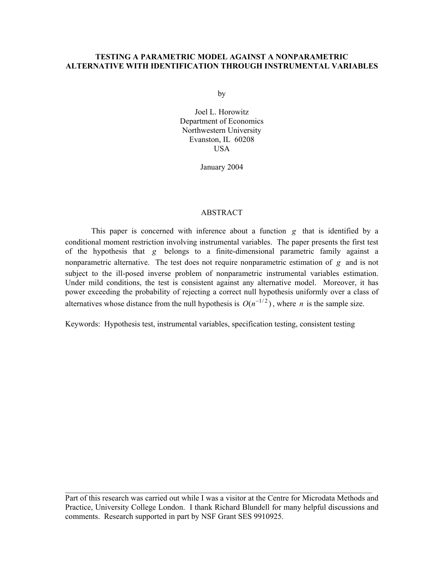# **TESTING A PARAMETRIC MODEL AGAINST A NONPARAMETRIC ALTERNATIVE WITH IDENTIFICATION THROUGH INSTRUMENTAL VARIABLES**

by

Joel L. Horowitz Department of Economics Northwestern University Evanston, IL 60208 USA

January 2004

## ABSTRACT

This paper is concerned with inference about a function *g* that is identified by a conditional moment restriction involving instrumental variables. The paper presents the first test of the hypothesis that *g* belongs to a finite-dimensional parametric family against a nonparametric alternative. The test does not require nonparametric estimation of *g* and is not subject to the ill-posed inverse problem of nonparametric instrumental variables estimation. Under mild conditions, the test is consistent against any alternative model. Moreover, it has power exceeding the probability of rejecting a correct null hypothesis uniformly over a class of alternatives whose distance from the null hypothesis is  $O(n^{-1/2})$ , where *n* is the sample size.

Keywords: Hypothesis test, instrumental variables, specification testing, consistent testing

Part of this research was carried out while I was a visitor at the Centre for Microdata Methods and Practice, University College London. I thank Richard Blundell for many helpful discussions and comments. Research supported in part by NSF Grant SES 9910925.

 $\_$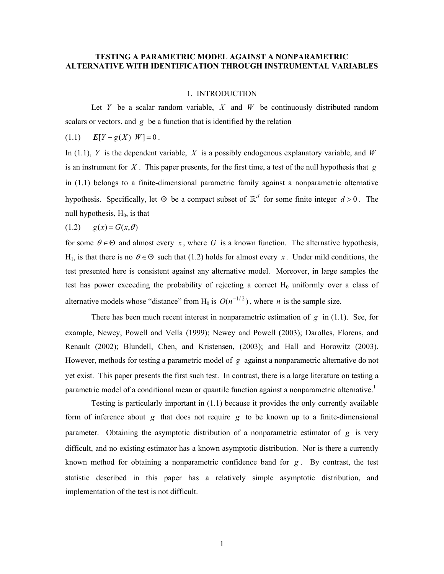# **TESTING A PARAMETRIC MODEL AGAINST A NONPARAMETRIC ALTERNATIVE WITH IDENTIFICATION THROUGH INSTRUMENTAL VARIABLES**

#### 1. INTRODUCTION

Let *Y* be a scalar random variable, *X* and *W* be continuously distributed random scalars or vectors, and *g* be a function that is identified by the relation

 $E[Y - g(X)|W] = 0$ .

In (1.1), *Y* is the dependent variable, *X* is a possibly endogenous explanatory variable, and *W* is an instrument for *X* . This paper presents, for the first time, a test of the null hypothesis that *g* in (1.1) belongs to a finite-dimensional parametric family against a nonparametric alternative hypothesis. Specifically, let  $\Theta$  be a compact subset of  $\mathbb{R}^d$  for some finite integer  $d > 0$ . The null hypothesis, H 0, is that

$$
(1.2) \qquad g(x) = G(x, \theta)
$$

for some  $\theta \in \Theta$  and almost every *x*, where G is a known function. The alternative hypothesis, H<sub>1</sub>, is that there is no  $\theta \in \Theta$  such that (1.2) holds for almost every *x*. Under mild conditions, the test presented here is consistent against any alternative model. Moreover, in large samples the test has power exceeding the probability of rejecting a correct  $H_0$  uniformly over a class of alternative models whose "distance" from H<sub>0</sub> is  $O(n^{-1/2})$ , where *n* is the sample size.

There has been much recent interest in nonparametric estimation of *g* in (1.1). See, for example, Newey, Powell and Vella (1999); Newey and Powell (2003); Darolles, Florens, and Renault (2002); Blundell, Chen, and Kristensen, (2003); and Hall and Horowitz (2003). However, methods for testing a parametric model of *g* against a nonparametric alternative do not yet exist. This paper presents the first such test. In contrast, there is a large literature on testing a parametric model of a conditional mean or quantile function against a nonparametric alternative.<sup>[1](#page-29-0)</sup>

Testing is particularly important in (1.1) because it provides the only currently available form of inference about *g* that does not require *g* to be known up to a finite-dimensional parameter. Obtaining the asymptotic distribution of a nonparametric estimator of *g* is very difficult, and no existing estimator has a known asymptotic distribution. Nor is there a currently known method for obtaining a nonparametric confidence band for *g* . By contrast, the test statistic described in this paper has a relatively simple asymptotic distribution, and implementation of the test is not difficult.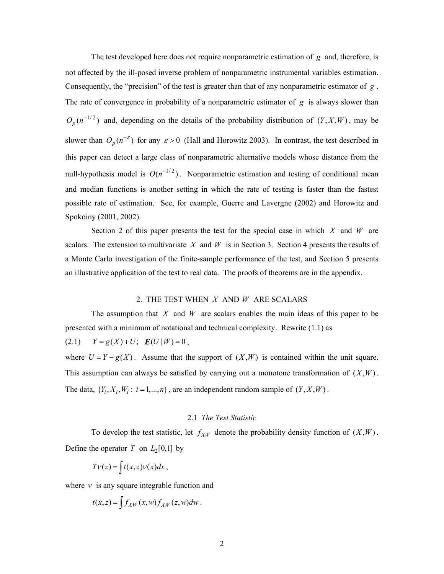The test developed here does not require nonparametric estimation of *g* and, therefore, is not affected by the ill-posed inverse problem of nonparametric instrumental variables estimation. Consequently, the "precision" of the test is greater than that of any nonparametric estimator of *g* . The rate of convergence in probability of a nonparametric estimator of *g* is always slower than  $O_p(n^{-1/2})$  and, depending on the details of the probability distribution of  $(Y, X, W)$ , may be slower than  $O_p(n^{-\epsilon})$  for any  $\epsilon > 0$  (Hall and Horowitz 2003). In contrast, the test described in null-hypothesis model is  $O(n^{-1/2})$ . Nonparametric estimation and testing of conditional mean this paper can detect a large class of nonparametric alternative models whose distance from the and median functions is another setting in which the rate of testing is faster than the fastest possible rate of estimation. See, for example, Guerre and Lavergne (2002) and Horowitz and Spokoiny (2001, 2002).

Section 2 of this paper presents the test for the special case in which *X* and *W* are scalars. The extension to multivariate  $X$  and  $W$  is in Section 3. Section 4 presents the results of a Monte Carlo investigation of the finite-sample performance of the test, and Section 5 presents an illustrative application of the test to real data. The proofs of theorems are in the appendix.

# 2. THE TEST WHEN *X* AND *W* ARE SCALARS

The assumption that *X* and *W* are scalars enables the main ideas of this paper to be presented with a minimum of notational and technical complexity. Rewrite (1.1) as

 $(Y = g(X) + U; E(U | W) = 0,$ 

where  $U = Y - g(X)$ . Assume that the support of  $(X, W)$  is contained within the unit square. This assumption can always be satisfied by carrying out a monotone transformation of  $(X, W)$ . The data,  $\{Y_i, X_i, W_i : i = 1, ..., n\}$ , are an independent random sample of  $(Y, X, W)$ .

# 2.1 *The Test Statistic*

To develop the test statistic, let  $f_{XW}$  denote the probability density function of  $(X, W)$ . Define the operator *T* on  $L_2[0,1]$  by

$$
Tv(z) = \int t(x, z)v(x)dx,
$$

where  $\nu$  is any square integrable function and

$$
t(x,z) = \int f_{XW}(x,w) f_{XW}(z,w) dw.
$$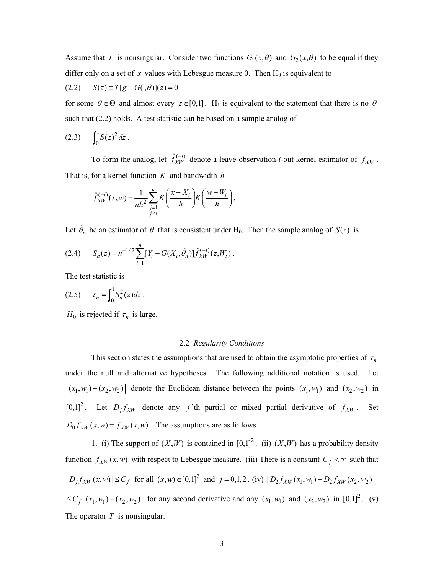Assume that *T* is nonsingular. Consider two functions  $G_1(x, \theta)$  and  $G_2(x, \theta)$  to be equal if they differ only on a set of  $x$  values with Lebesgue measure 0. Then  $H_0$  is equivalent to

(2.2) 
$$
S(z) \equiv T[g - G(\cdot, \theta)](z) = 0
$$

for some  $\theta \in \Theta$  and almost every  $z \in [0,1]$ . H<sub>1</sub> is equivalent to the statement that there is no  $\theta$ such that (2.2) holds. A test statistic can be based on a sample analog of

$$
(2.3) \qquad \int_0^1 S(z)^2 \, dz \; .
$$

To form the analog, let  $\hat{f}_{XW}^{(-i)}$  denote a leave-observation-*i*-out kernel estimator of  $f_{XW}$ . That is, for a kernel function *K* and bandwidth *h*

$$
\hat{f}_{XW}^{(-i)}(x,w) = \frac{1}{nh^2} \sum_{\substack{j=1 \ j \neq i}}^n K\left(\frac{x - X_i}{h}\right) K\left(\frac{w - W_i}{h}\right).
$$

Let  $\hat{\theta}_n$  be an estimator of  $\theta$  that is consistent under H<sub>0</sub>. Then the sample analog of *S*(*z*) is

$$
(2.4) \tS_n(z) = n^{-1/2} \sum_{i=1}^n [Y_i - G(X_i, \hat{\theta}_n)] \hat{f}_{XW}^{(-i)}(z, W_i).
$$

The test statistic is

(2.5) 
$$
\tau_n = \int_0^1 S_n^2(z) dz.
$$

 $H_0$  is rejected if  $\tau_n$  is large.

#### 2.2 *Regularity Conditions*

This section states the assumptions that are used to obtain the asymptotic properties of  $\tau_n$ under the null and alternative hypotheses. The following additional notation is used. Let  $\|(x_1, w_1) - (x_2, w_2)\|$  denote the Euclidean distance between the points  $(x_1, w_1)$  and  $(x_2, w_2)$  in  $[0,1]^2$ . Let  $D_j f_{XW}$  denote any *j* 'th partial or mixed partial derivative of  $f_{XW}$ . Set  $D_0 f_{XW}(x, w) = f_{XW}(x, w)$ . The assumptions are as follows.

1. (i) The support of  $(X, W)$  is contained in  $[0,1]^2$ . (ii)  $(X, W)$  has a probability density function  $f_{XW}(x, w)$  with respect to Lebesgue measure. (iii) There is a constant  $C_f < \infty$  such that  $|D_j f_{XW}(x, w)| \le C_f$  for all  $(x, w) \in [0, 1]^2$  and  $j = 0, 1, 2$ . (iv)  $|D_2 f_{XW}(x_1, w_1) - D_2 f_{XW}(x_2, w_2)|$  $\leq C_f ||(x_1, w_1) - (x_2, w_2)||$  for any second derivative and any  $(x_1, w_1)$  and  $(x_2, w_2)$  in  $[0,1]^2$ . (v) The operator *T* is nonsingular.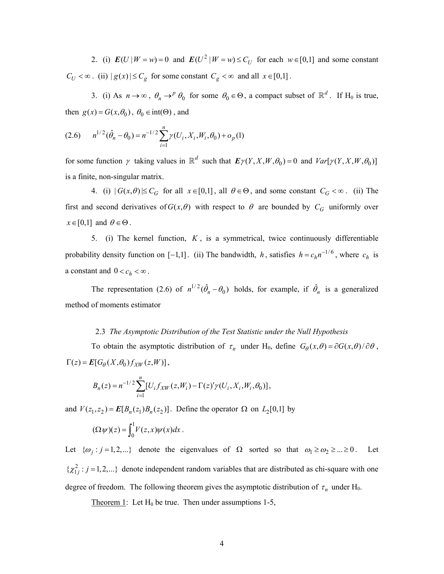2. (i)  $E(U|W = w) = 0$  and  $E(U^2|W = w) \le C_U$  for each  $w \in [0,1]$  and some constant  $C_U < \infty$ . (ii)  $|g(x)| \leq C_g$  for some constant  $C_g < \infty$  and all  $x \in [0,1]$ .

3. (i) As  $n \to \infty$ ,  $\theta_n \to^p \theta_0$  for some  $\theta_0 \in \Theta$ , a compact subset of  $\mathbb{R}^d$ . If H<sub>0</sub> is true, then  $g(x) = G(x, \theta_0)$ ,  $\theta_0 \in \text{int}(\Theta)$ , and

$$
(2.6) \qquad n^{1/2}(\hat{\theta}_n - \theta_0) = n^{-1/2} \sum_{i=1}^n \gamma(U_i, X_i, W_i, \theta_0) + o_p(1)
$$

for some function  $\gamma$  taking values in  $\mathbb{R}^d$  such that  $\mathbf{E} \gamma(Y, X, W, \theta_0) = 0$  and  $Var[\gamma(Y, X, W, \theta_0)]$ is a finite, non-singular matrix.

4. (i)  $|G(x, \theta)| \le C_G$  for all  $x \in [0,1]$ , all  $\theta \in \Theta$ , and some constant  $C_G < \infty$ . (ii) The first and second derivatives of  $G(x, \theta)$  with respect to  $\theta$  are bounded by  $C_G$  uniformly over  $x \in [0,1]$  and  $\theta \in \Theta$ .

5. (i) The kernel function,  $K$ , is a symmetrical, twice continuously differentiable probability density function on [-1,1]. (ii) The bandwidth, h, satisfies  $h = c_h n^{-1/6}$ , where  $c_h$  is a constant and  $0 < c_h < \infty$ .

The representation (2.6) of  $n^{1/2}(\hat{\theta}_n - \theta_0)$  holds, for example, if  $\hat{\theta}_n$  is a generalized method of moments estimator

## 2.3 *The Asymptotic Distribution of the Test Statistic under the Null Hypothesis*

To obtain the asymptotic distribution of  $\tau_n$  under H<sub>0</sub>, define  $G_\theta(x,\theta) = \partial G(x,\theta)/\partial \theta$ ,  $\Gamma(z) = E[G_{\theta}(X, \theta_0) f_{XW}(z, W)],$ 

$$
B_n(z) = n^{-1/2} \sum_{i=1}^n [U_i f_{XW}(z, W_i) - \Gamma(z)'\gamma(U_i, X_i, W_i, \theta_0)],
$$

and  $V(z_1, z_2) = E[B_n(z_1)B_n(z_2)]$ . Define the operator  $\Omega$  on  $L_2[0,1]$  by

$$
(\Omega \psi)(z) = \int_0^1 V(z,x)\psi(x)dx.
$$

Let  $\{\omega_j : j = 1,2,...\}$  denote the eigenvalues of  $\Omega$  sorted so that  $\omega_1 \ge \omega_2 \ge ... \ge 0$ . degree of freedom. The following theorem gives the asymptotic distribution of  $\tau_n$  under H<sub>0</sub>. . Let  $\{\chi^2_{1j} : j = 1, 2, ...\}$  denote independent random variables that are distributed as chi-square with one

Theorem 1: Let  $H_0$  be true. Then under assumptions 1-5,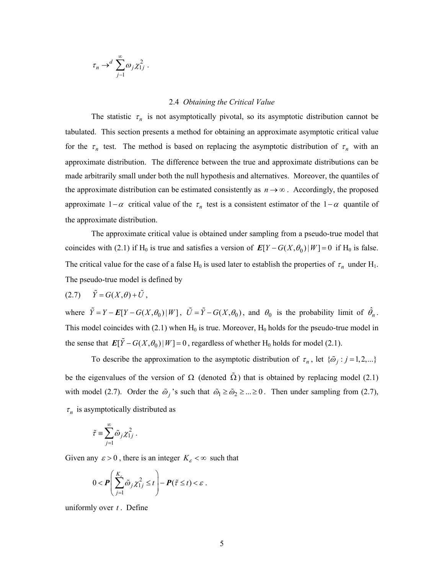$$
\tau_n \to^d \sum_{j=1}^\infty \omega_j \chi_{1j}^2.
$$

## 2.4 *Obtaining the Critical Value*

The statistic  $\tau_n$  is not asymptotically pivotal, so its asymptotic distribution cannot be tabulated. This section presents a method for obtaining an approximate asymptotic critical value for the  $\tau_n$  test. The method is based on replacing the asymptotic distribution of  $\tau_n$  with an approximate distribution. The difference between the true and approximate distributions can be made arbitrarily small under both the null hypothesis and alternatives. Moreover, the quantiles of the approximate distribution can be estimated consistently as  $n \rightarrow \infty$ . Accordingly, the proposed approximate  $1-\alpha$  critical value of the  $\tau_n$  test is a consistent estimator of the  $1-\alpha$  quantile of the approximate distribution.

The approximate critical value is obtained under sampling from a pseudo-true model that coincides with (2.1) if H<sub>0</sub> is true and satisfies a version of  $E[Y - G(X, \theta_0)|W] = 0$  if H<sub>0</sub> is false. The critical value for the case of a false H<sub>0</sub> is used later to establish the properties of  $\tau_n$  under H<sub>1</sub>. The pseudo-true model is defined by

$$
(2.7) \qquad \tilde{Y} = G(X,\theta) + \tilde{U},
$$

where  $\tilde{Y} = Y - E[Y - G(X, \theta_0) | W]$ ,  $\tilde{U} = \tilde{Y} - G(X, \theta_0)$ , and  $\theta_0$  is the probability limit of  $\hat{\theta}_n$ . This model coincides with (2.1) when  $H_0$  is true. Moreover,  $H_0$  holds for the pseudo-true model in the sense that  $E[\tilde{Y} - G(X, \theta_0) | W] = 0$ , regardless of whether H<sub>0</sub> holds for model (2.1).

To describe the approximation to the asymptotic distribution of  $\tau_n$ , let  $\{\tilde{\omega}_i : j = 1, 2, ...\}$ be the eigenvalues of the version of  $\Omega$  (denoted  $\tilde{\Omega}$ ) that is obtained by replacing model (2.1) with model (2.7). Order the  $\tilde{\omega}_i$ 's such that  $\tilde{\omega}_1 \ge \tilde{\omega}_2 \ge ... \ge 0$ . Then under sampling from (2.7),  $\tau_n$  is asymptotically distributed as

$$
\tilde{\tau} \equiv \sum_{j=1}^{\infty} \tilde{\omega}_j \chi_{1j}^2 .
$$

Given any  $\varepsilon > 0$ , there is an integer  $K_{\varepsilon} < \infty$  such that

$$
0 < \boldsymbol{P}\left(\sum_{j=1}^{K_{\varepsilon}}\tilde{\omega}_j\chi_{1j}^2 \leq t\right) - \boldsymbol{P}(\tilde{\tau} \leq t) < \varepsilon.
$$

uniformly over *t* . Define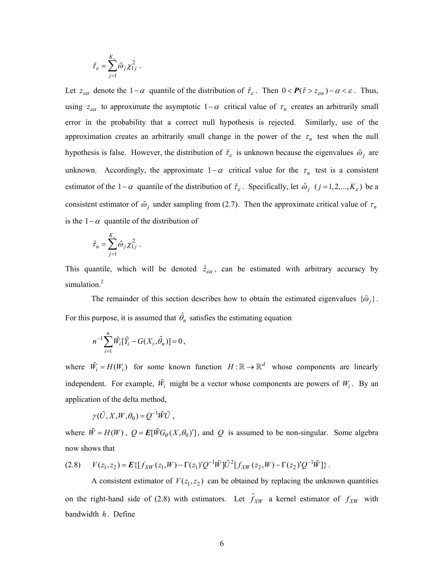$$
\tilde{\tau}_{\varepsilon} = \sum_{j=1}^{K_{\varepsilon}} \tilde{\omega}_j \chi_{1j}^2.
$$

Let  $z_{\epsilon\alpha}$  denote the 1−α quantile of the distribution of  $\tilde{\tau}_{\epsilon}$ . Then  $0 < P(\tilde{\tau} > z_{\epsilon\alpha}) - \alpha < \epsilon$ . Thus, using  $z_{\epsilon\alpha}$  to approximate the asymptotic  $1-\alpha$  critical value of  $\tau_n$  creates an arbitrarily small error in the probability that a correct null hypothesis is rejected. Similarly, use of the approximation creates an arbitrarily small change in the power of the  $\tau_n$  test when the null hypothesis is false. However, the distribution of  $\tilde{\tau}_{\varepsilon}$  is unknown because the eigenvalues  $\tilde{\omega}_i$  are unknown. Accordingly, the approximate  $1-\alpha$  critical value for the  $\tau_n$  test is a consistent estimator of the 1−α quantile of the distribution of  $\tilde{\tau}_{\varepsilon}$ . Specifically, let  $\hat{\omega}_j$  ( $j = 1, 2, ..., K_{\varepsilon}$ ) be a consistent estimator of  $\tilde{\omega}_j$  under sampling from (2.7). Then the approximate critical value of  $\tau_n$ is the 1−α quantile of the distribution of

$$
\hat{\tau}_n = \sum_{j=1}^{K_s} \hat{\omega}_j \chi_{1j}^2.
$$

This quantile, which will be denoted  $\hat{z}_{\epsilon\alpha}$ , can be estimated with arbitrary accuracy by simulation.<sup>[2](#page-29-1)</sup>

The remainder of this section describes how to obtain the estimated eigenvalues  $\{\hat{\omega}_i\}$ . For this purpose, it is assumed that  $\hat{\theta}_n$  satisfies the estimating equation

$$
n^{-1} \sum_{i=1}^{n} \tilde{W}_i [\tilde{Y}_i - G(X_i, \hat{\theta}_n)] = 0,
$$

where  $\tilde{W}_i = H(W_i)$  for some known function  $H : \mathbb{R} \to \mathbb{R}^d$  whose components are linearly independent. For example,  $\tilde{W}_i$  might be a vector whose components are powers of  $W_i$ . By an application of the delta method,

$$
\gamma(\tilde{U},X,W,\theta_0)=Q^{-1}\tilde{W}\tilde{U},
$$

where  $\tilde{W} = H(W)$ ,  $Q = E[\tilde{W}G_{\theta}(X, \theta_0)']$ , and Q is assumed to be non-singular. Some algebra now shows that

$$
(2.8) \qquad V(z_1, z_2) = \mathbf{E}\left\{ \left[ f_{XW}(z_1, W) - \Gamma(z_1)' Q^{-1} \tilde{W} \right] \tilde{U}^2 \left[ f_{XW}(z_2, W) - \Gamma(z_2)' Q^{-1} \tilde{W} \right] \right\}.
$$

A consistent estimator of  $V(z_1, z_2)$  can be obtained by replacing the unknown quantities on the right-hand side of (2.8) with estimators. Let  $\hat{f}_{XW}$  a kernel estimator of  $f_{XW}$  with bandwidth  $h$ . Define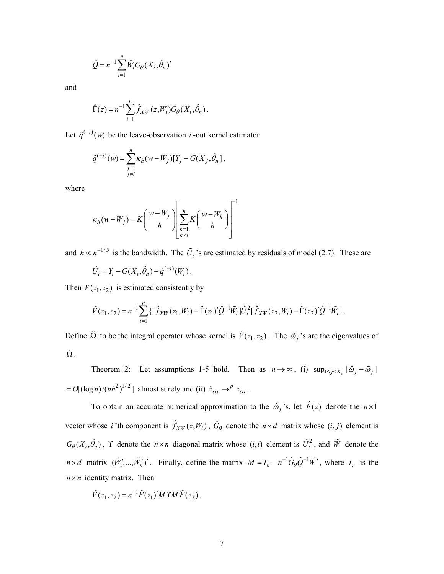$$
\hat{Q} = n^{-1} \sum_{i=1}^{n} \tilde{W}_i G_{\theta}(X_i, \hat{\theta}_n)'
$$

and

$$
\hat{\Gamma}(z) = n^{-1} \sum_{i=1}^{n} \hat{f}_{XW}(z, W_i) G_{\theta}(X_i, \hat{\theta}_n).
$$

Let  $\hat{q}^{(-i)}(w)$  be the leave-observation *i* -out kernel estimator

$$
\hat{q}^{(-i)}(w) = \sum_{\substack{j=1\\j\neq i}}^{n} \kappa_h(w - W_j)[Y_j - G(X_j, \hat{\theta}_n)],
$$

where

$$
\kappa_h(w-W_j) = K\left(\frac{w-W_j}{h}\right) \left[\sum_{\substack{k=1\\k\neq i}}^n K\left(\frac{w-W_k}{h}\right)\right]^{-1}
$$

and  $h \propto n^{-1/5}$  is the bandwidth. The  $\tilde{U}_i$  's are estimated by residuals of model (2.7). These are

$$
\hat{U}_i = Y_i - G(X_i, \hat{\theta}_n) - \hat{q}^{(-i)}(W_i).
$$

Then  $V(z_1, z_2)$  is estimated consistently by

$$
\hat{V}(z_1, z_2) = n^{-1} \sum_{i=1}^n \{ [\hat{f}_{XW}(z_1, W_i) - \hat{\Gamma}(z_1)'\hat{Q}^{-1}\tilde{W}_i] \hat{U}_i^2 [\hat{f}_{XW}(z_2, W_i) - \hat{\Gamma}(z_2)'\hat{Q}^{-1}\tilde{W}_i] \}.
$$

Define  $\hat{\Omega}$  to be the integral operator whose kernel is  $\hat{V}(z_1, z_2)$ . The  $\hat{\omega}_j$ 's are the eigenvalues of  $\hat{\Omega}$  .

Theorem 2: Let assumptions 1-5 hold. Then as  $n \to \infty$ , (i)  $\sup_{1 \le j \le K_{\varepsilon}} |\hat{\omega}_j - \tilde{\omega}_j|$  $a = O[(\log n)/{(nh^2)}^{1/2}]$  almost surely and (ii)  $\hat{z}_{\varepsilon\alpha} \rightarrow^{p} z_{\varepsilon\alpha}$ .

To obtain an accurate numerical approximation to the  $\hat{\omega}_j$ 's, let  $\hat{F}(z)$  denote the  $n \times 1$ vector whose *i* 'th component is  $\hat{f}_{XW}(z, W_i)$ ,  $\hat{G}_{\theta}$  denote the  $n \times d$  matrix whose  $(i, j)$  element is  $G_{\theta}(X_i, \hat{\theta}_n)$ ,  $\Upsilon$  denote the  $n \times n$  diagonal matrix whose  $(i, i)$  element is  $\hat{U}_i^2$ , and  $\tilde{W}$  denote the  $n \times d$  matrix  $(\tilde{W}_1',...,\tilde{W}_n')'$ . Finally, define the matrix  $M = I_n - n^{-1} \hat{G}_{\theta} \hat{Q}^{-1} \tilde{W}'$ , where  $I_n$  is the  $n \times n$  identity matrix. Then

$$
\hat{V}(z_1, z_2) = n^{-1} \hat{F}(z_1)' M \Upsilon M' \hat{F}(z_2).
$$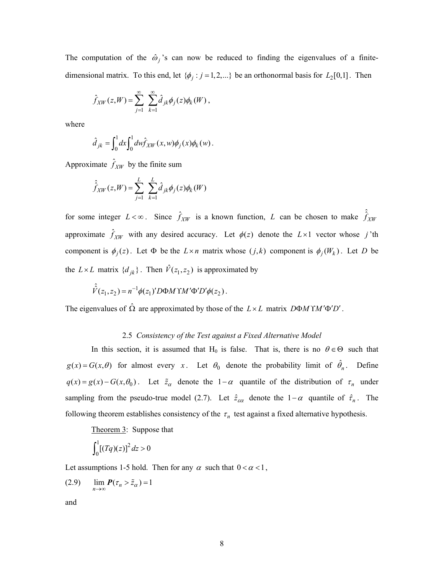The computation of the  $\hat{\omega}_j$ 's can now be reduced to finding the eigenvalues of a finitedimensional matrix. To this end, let  $\{\phi_j : j = 1, 2, ...\}$  be an orthonormal basis for  $L_2[0,1]$ . Then

$$
\hat{f}_{XW}(z,W)=\sum_{j=1}^\infty\ \sum_{k=1}^\infty\hat{d}_{jk}\phi_j(z)\phi_k(W)\,,
$$

where

$$
\hat{d}_{jk} = \int_0^1 dx \int_0^1 dw \hat{f}_{XW}(x, w) \phi_j(x) \phi_k(w).
$$

Approximate  $\hat{f}_{XW}$  by the finite sum

$$
\hat{\hat{f}}_{XW}(z,W) = \sum_{j=1}^{L} \sum_{k=1}^{L} \hat{d}_{jk} \phi_j(z) \phi_k(W)
$$

for some integer  $L < \infty$ . Since  $\hat{f}_{XW}$  is a known function, *L* can be chosen to make  $\hat{f}_{XW}$ approximate  $\hat{f}_{XW}$  with any desired accuracy. Let  $\phi(z)$  denote the  $L \times 1$  vector whose j'th component is  $\phi_j(z)$ . Let  $\Phi$  be the  $L \times n$  matrix whose  $(j,k)$  component is  $\phi_j(W_k)$ . Let *D* be the  $L \times L$  matrix  $\{d_{jk}\}\$ . Then  $\hat{V}(z_1, z_2)$  is approximated by

$$
\hat{\hat{V}}(z_1, z_2) = n^{-1} \phi(z_1)' D \Phi M \Upsilon M' \Phi' D' \phi(z_2).
$$

The eigenvalues of  $\hat{\Omega}$  are approximated by those of the  $L \times L$  matrix  $D\Phi M\Upsilon M' \Phi' D'$ .

## 2.5 *Consistency of the Test against a Fixed Alternative Model*

In this section, it is assumed that H<sub>0</sub> is false. That is, there is no  $\theta \in \Theta$  such that  $g(x) = G(x, \theta)$  for almost every *x*. Let  $\theta_0$  denote the probability limit of  $\hat{\theta}_n$ . Define  $q(x) = g(x) - G(x, \theta_0)$ . Let  $\tilde{z}_\alpha$  denote the 1- $\alpha$  quantile of the distribution of  $\tau_n$  under sampling from the pseudo-true model (2.7). Let  $\hat{z}_{\epsilon\alpha}$  denote the 1– $\alpha$  quantile of  $\hat{\tau}_n$ . The following theorem establishes consistency of the  $\tau_n$  test against a fixed alternative hypothesis.

Theorem 3: Suppose that

$$
\int_0^1 [(Tq)(z)]^2 dz > 0
$$

Let assumptions 1-5 hold. Then for any  $\alpha$  such that  $0 < \alpha < 1$ ,

$$
(2.9) \qquad \lim_{n \to \infty} P(\tau_n > \tilde{z}_\alpha) = 1
$$

and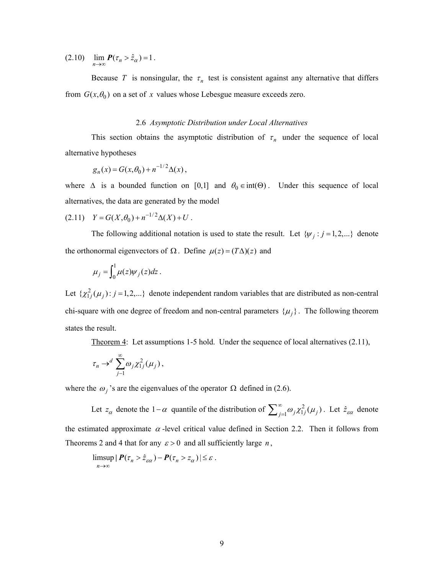(2.10)  $\lim_{n \to \infty} P(\tau_n > \hat{z}_\alpha) = 1$ .

Because *T* is nonsingular, the  $\tau_n$  test is consistent against any alternative that differs from  $G(x, \theta_0)$  on a set of x values whose Lebesgue measure exceeds zero.

### 2.6 *Asymptotic Distribution under Local Alternatives*

This section obtains the asymptotic distribution of  $\tau_n$  under the sequence of local alternative hypotheses

$$
g_n(x) = G(x, \theta_0) + n^{-1/2} \Delta(x) ,
$$

where  $\Delta$  is a bounded function on [0,1] and  $\theta_0 \in \text{int}(\Theta)$ . Under this sequence of local alternatives, the data are generated by the model

$$
(2.11) \tY = G(X, \theta_0) + n^{-1/2} \Delta(X) + U.
$$

The following additional notation is used to state the result. Let  $\{\psi_j : j = 1, 2, ...\}$  denote the orthonormal eigenvectors of  $\Omega$ . Define  $\mu(z) = (T\Delta)(z)$  and

$$
\mu_j = \int_0^1 \mu(z) \psi_j(z) dz.
$$

Let  $\{\chi^2_{1j}(\mu_j): j = 1,2,...\}$  denote independent random variables that are distributed as non-central chi-square with one degree of freedom and non-central parameters  $\{\mu_j\}$ . The following theorem states the result.

Theorem 4: Let assumptions 1-5 hold. Under the sequence of local alternatives (2.11),

$$
\tau_n \to^d \sum_{j=1}^\infty \omega_j \chi_{1j}^2(\mu_j),
$$

where the  $\omega_i$ 's are the eigenvalues of the operator  $\Omega$  defined in (2.6).

Let  $z_\alpha$  denote the 1- $\alpha$  quantile of the distribution of  $\sum_{j=1}^{\infty} \omega_j \chi^2_{1j}(\mu_j)$ . Let  $\hat{z}_{\alpha\alpha}$  denote the estimated approximate  $\alpha$ -level critical value defined in Section 2.2. Then it follows from Theorems 2 and 4 that for any  $\varepsilon > 0$  and all sufficiently large *n*,

$$
\limsup_{n\to\infty} |P(\tau_n > \hat{z}_{\varepsilon\alpha}) - P(\tau_n > z_\alpha)| \leq \varepsilon.
$$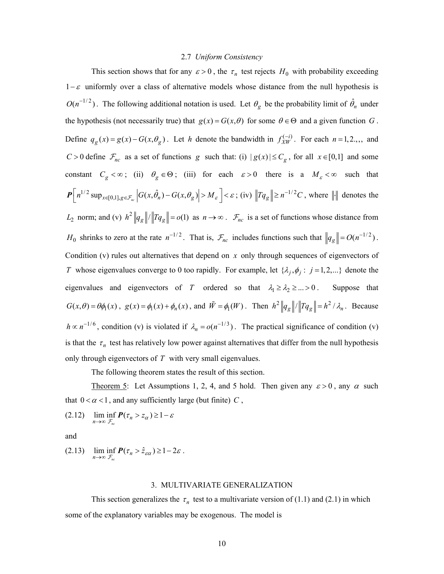#### 2.7 *Uniform Consistency*

This section shows that for any  $\varepsilon > 0$ , the  $\tau_n$  test rejects  $H_0$  with probability exceeding  $1− ε$  uniformly over a class of alternative models whose distance from the null hypothesis is  $O(n^{-1/2})$ . The following additional notation is used. Let  $\theta_g$  be the probability limit of  $\hat{\theta}_n$  under the hypothesis (not necessarily true) that  $g(x) = G(x, \theta)$  for some  $\theta \in \Theta$  and a given function *G*. Define  $q_g(x) = g(x) - G(x, \theta_g)$ . Let *h* denote the bandwidth in  $f_{XW}^{(-i)}$ . For each  $n = 1, 2, \dots$ , and *C* > 0 define  $\mathcal{F}_{nc}$  as a set of functions g such that: (i)  $|g(x)| \leq C_g$ , for all  $x \in [0,1]$  and some constant  $C_g < \infty$ ; (ii)  $\theta_g \in \Theta$ ; (iii) for each  $\varepsilon > 0$  there is a  $M_\varepsilon < \infty$  such that  $P\left[n^{1/2} \sup_{x \in [0,1], g \in \mathcal{F}_n} \left| G(x, \hat{\theta}_n) - G(x, \theta_g) \right| > M_{\varepsilon} \right] < \varepsilon$ ; (iv)  $\left\|Tq_g\right\| \geq n^{-1/2}C$ , where  $\left\| \cdot \right\|$  denotes the  $L_2$  norm; and (v)  $h^2 ||q_g|| / ||Tq_g|| = o(1)$  as  $n \to \infty$ .  $\mathcal{F}_{nc}$  is a set of functions whose distance from *H*<sub>0</sub> shrinks to zero at the rate  $n^{-1/2}$ . That is,  $\mathcal{F}_{nc}$  includes functions such that  $||q_g|| = O(n^{-1/2})$ . Condition (v) rules out alternatives that depend on *x* only through sequences of eigenvectors of *T* whose eigenvalues converge to 0 too rapidly. For example, let  $\{\lambda_j, \phi_j : j = 1, 2, ...\}$  denote the eigenvalues and eigenvectors of *T* ordered so that  $\lambda_1 \ge \lambda_2 \ge ... > 0$ . Suppose that  $G(x,\theta) = \theta \phi_1(x)$ ,  $g(x) = \phi_1(x) + \phi_n(x)$ , and  $\tilde{W} = \phi_1(W)$ . Then  $h^2 ||q_g|| / ||Tq_g|| = h^2 / \lambda_n$ . Because  $h \propto n^{-1/6}$ , condition (v) is violated if  $\lambda_n = o(n^{-1/3})$ . The practical significance of condition (v) is that the  $\tau_n$  test has relatively low power against alternatives that differ from the null hypothesis only through eigenvectors of *T* with very small eigenvalues.

The following theorem states the result of this section.

Theorem 5: Let Assumptions 1, 2, 4, and 5 hold. Then given any  $\varepsilon > 0$ , any  $\alpha$  such that  $0 < \alpha < 1$ , and any sufficiently large (but finite) C,

$$
(2.12) \quad \liminf_{n \to \infty} P(\tau_n > \tau_\alpha) \ge 1 - \varepsilon
$$

and

(2.13) 
$$
\liminf_{n\to\infty}\Pr_{\mathcal{F}_{nc}}\left(\tau_n > \hat{z}_{\varepsilon\alpha}\right) \geq 1-2\varepsilon.
$$

#### 3. MULTIVARIATE GENERALIZATION

This section generalizes the  $\tau_n$  test to a multivariate version of (1.1) and (2.1) in which some of the explanatory variables may be exogenous. The model is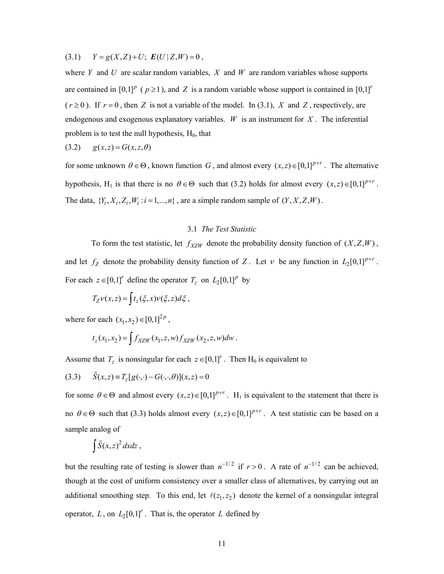$(Y = g(X, Z) + U$ ;  $E(U | Z, W) = 0$ ,

where *Y* and *U* are scalar random variables, *X* and *W* are random variables whose supports are contained in  $[0,1]^p$  ( $p \ge 1$ ), and *Z* is a random variable whose support is contained in  $[0,1]^r$  $(r \ge 0)$ . If  $r = 0$ , then Z is not a variable of the model. In (3.1), X and Z, respectively, are endogenous and exogenous explanatory variables.  $W$  is an instrument for  $X$ . The inferential problem is to test the null hypothesis,  $H_0$ , that

$$
(3.2) \qquad g(x,z) = G(x,z,\theta)
$$

for some unknown  $\theta \in \Theta$ , known function *G*, and almost every  $(x, z) \in [0,1]^{p+r}$ . The alternative hypothesis, H<sub>1</sub> is that there is no  $\theta \in \Theta$  such that (3.2) holds for almost every  $(x, z) \in [0,1]^{p+r}$ . The data,  $\{Y_i, X_i, Z_i, W_i : i = 1, ..., n\}$ , are a simple random sample of  $(Y, X, Z, W)$ .

## 3.1 *The Test Statistic*

To form the test statistic, let  $f_{XZW}$  denote the probability density function of  $(X, Z, W)$ , and let  $f_Z$  denote the probability density function of Z. Let  $\nu$  be any function in  $L_2[0,1]^{p+r}$ . For each  $z \in [0,1]^r$  define the operator  $T_z$  on  $L_2[0,1]^p$  by

$$
T_Z \nu(x,z) = \int t_z(\xi, x) \nu(\xi, z) d\xi,
$$

where for each  $(x_1, x_2) \in [0,1]^{2p}$ ,

$$
t_z(x_1, x_2) = \int f_{XZW}(x_1, z, w) f_{XZW}(x_2, z, w) dw.
$$

Assume that  $T_z$  is nonsingular for each  $z \in [0,1]^r$ . Then  $H_0$  is equivalent to

(3.3) 
$$
\tilde{S}(x, z) = T_z[g(\cdot, \cdot) - G(\cdot, \cdot, \theta)](x, z) = 0
$$

for some  $\theta \in \Theta$  and almost every  $(x, z) \in [0,1]^{p+r}$ . H<sub>1</sub> is equivalent to the statement that there is no  $\theta \in \Theta$  such that (3.3) holds almost every  $(x, z) \in [0,1]^{p+r}$ . A test statistic can be based on a sample analog of

$$
\int \tilde{S}(x,z)^2 dx dz ,
$$

but the resulting rate of testing is slower than  $n^{-1/2}$  if  $r > 0$ . A rate of  $n^{-1/2}$  can be achieved, though at the cost of uniform consistency over a smaller class of alternatives, by carrying out an additional smoothing step. To this end, let  $\ell(z_1, z_2)$  denote the kernel of a nonsingular integral operator, L, on  $L_2[0,1]^r$ . That is, the operator L defined by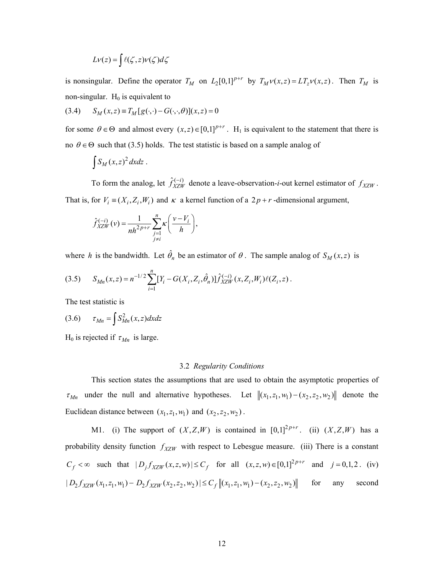$$
Lv(z) = \int \ell(\zeta, z)v(\zeta) d\zeta
$$

is nonsingular. Define the operator  $T_M$  on  $L_2[0,1]^{p+r}$  by  $T_M\nu(x,z) = LT_{z}\nu(x,z)$ . Then  $T_M$  is non-singular.  $H_0$  is equivalent to

$$
(3.4) \tSM(x, z) \equiv TM[g(\cdot, \cdot) - G(\cdot, \cdot, \theta)](x, z) = 0
$$

for some  $\theta \in \Theta$  and almost every  $(x, z) \in [0,1]^{p+r}$ . H<sub>1</sub> is equivalent to the statement that there is no  $\theta \in \Theta$  such that (3.5) holds. The test statistic is based on a sample analog of

$$
\int S_M(x,z)^2 dx dz.
$$

That is, for  $V_i = (X_i, Z_i, W_i)$  and  $\kappa$  a kernel function of a  $2p + r$ -dimensional argument, To form the analog, let  $\hat{f}_{XZW}^{(-i)}$  denote a leave-observation-*i*-out kernel estimator of  $f_{XZW}$ .

$$
\hat{f}_{XZW}^{(-i)}(v) = \frac{1}{nh^{2p+r}} \sum_{\substack{j=1 \ j \neq i}}^{n} K\left(\frac{v - V_i}{h}\right),
$$

where *h* is the bandwidth. Let  $\hat{\theta}_n$  be an estimator of  $\theta$ . The sample analog of  $S_M(x, z)$  is

$$
(3.5) \qquad S_{Mn}(x,z) = n^{-1/2} \sum_{i=1}^{n} [Y_i - G(X_i, Z_i, \hat{\theta}_n)] \hat{f}_{XZW}^{(-i)}(x, Z_i, W_i) \ell(Z_i, z) \,.
$$

The test statistic is

$$
(3.6) \qquad \tau_{Mn} = \int S_{Mn}^2(x, z) dx dz
$$

H<sub>0</sub> is rejected if  $\tau_{Mn}$  is large.

#### 3.2 *Regularity Conditions*

This section states the assumptions that are used to obtain the asymptotic properties of  $\tau_{Mn}$  under the null and alternative hypotheses. Let  $\|(x_1, z_1, w_1) - (x_2, z_2, w_2)\|$  denote the Euclidean distance between  $(x_1, z_1, w_1)$  and  $(x_2, z_2, w_2)$ .

M1. (i) The support of  $(X, Z, W)$  is contained in  $[0,1]^{2p+r}$ . (ii)  $(X, Z, W)$  has a probability density function  $f_{XZW}$  with respect to Lebesgue measure. (iii) There is a constant  $C_f < \infty$  such that  $|D_j f_{XZW}(x, z, w)| \le C_f$  for all  $(x, z, w) \in [0, 1]^{2p+r}$  and  $j = 0, 1, 2$ . (iv)  $|D_2 f_{YZW}(x_1, z_1, w_1) - D_2 f_{YZW}(x_2, z_2, w_2)| \leq C_f ||(x_1, z_1, w_1) - (x_2, z_2, w_2)||$  for any second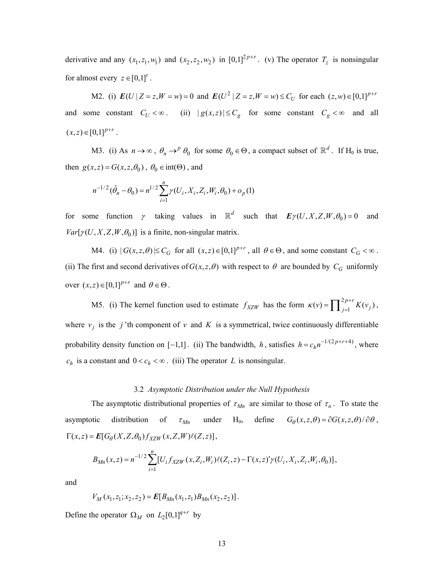derivative and any  $(x_1, z_1, w_1)$  and  $(x_2, z_2, w_2)$  in  $[0,1]^{2p+r}$ . (v) The operator  $T_z$  is nonsingular for almost every  $z \in [0,1]^r$ .

M2. (i)  $E(U | Z = z, W = w) = 0$  and  $E(U^2 | Z = z, W = w) \le C_U$  for each  $(z, w) \in [0,1]^{p+r}$ and some constant  $C_U < \infty$ . (ii)  $|g(x,z)| \leq C_g$  for some constant  $C_g < \infty$  and all  $(x, z) \in [0,1]^{p+r}$ .

*M3.* (i) As  $n \to \infty$ ,  $\theta_n \to^p \theta_0$  for some  $\theta_0 \in \Theta$ , a compact subset of  $\mathbb{R}^d$ . If  $H_0$  is true, then  $g(x, z) = G(x, z, \theta_0)$ ,  $\theta_0 \in \text{int}(\Theta)$ , and

$$
n^{-1/2}(\hat{\theta}_n - \theta_0) = n^{1/2} \sum_{i=1}^n \gamma(U_i, X_i, Z_i, W_i, \theta_0) + o_p(1)
$$

for some function  $\gamma$  taking values in  $\mathbb{R}^d$  such that  $\mathbf{E}\gamma(U, X, Z, W, \theta_0) = 0$  and  $Var[ \gamma(U, X, Z, W, \theta_0) ]$  is a finite, non-singular matrix.

*M4.* (i)  $|G(x, z, \theta)| \le C_G$  for all  $(x, z) \in [0, 1]^{p+r}$ , all  $\theta \in \Theta$ , and some constant  $C_G < \infty$ . (ii) The first and second derivatives of  $G(x, z, \theta)$  with respect to  $\theta$  are bounded by  $C_G$  uniformly  $\text{over } (x, z) \in [0, 1]^{p+r} \text{ and } \theta \in \Theta.$ 

 $c_h$  is a constant and  $0 < c_h < \infty$ . (iii) The operator L is nonsingular. *M5.* (i) The kernel function used to estimate  $f_{XZW}$  has the form  $\kappa(v) = \prod_{j=1}^{2p+r} K(v_j)$ , probability density function on [-1,1]. (ii) The bandwidth, h, satisfies  $h = c_h n^{-1/(2p+r+4)}$ , where where  $v_j$  is the *j*'th component of v and K is a symmetrical, twice continuously differentiable

### 3.2 *Asymptotic Distribution under the Null Hypothesis*

The asymptotic distributional properties of  $\tau_{Mn}$  are similar to those of  $\tau_n$ . To state the asymptotic distribution of  $\tau_{Mn}$  under H<sub>0</sub>, define  $G_{\theta}(x, z, \theta) = \partial G(x, z, \theta) / \partial \theta$ ,  $\Gamma(x, z) = E[G_{\theta}(X, Z, \theta_0) f_{XZW}(x, Z, W) \ell(Z, z)],$ 

$$
B_{Mn}(x,z) = n^{-1/2} \sum_{i=1}^{n} [U_i f_{XZW}(x, Z_i, W_i) \ell(Z_i, z) - \Gamma(x, z)' \gamma(U_i, X_i, Z_i, W_i, \theta_0)],
$$

and

$$
V_M(x_1, z_1; x_2, z_2) = E[B_{Mn}(x_1, z_1)B_{Mn}(x_2, z_2)].
$$

Define the operator  $\Omega_M$  on  $L_2[0,1]^{q+r}$  by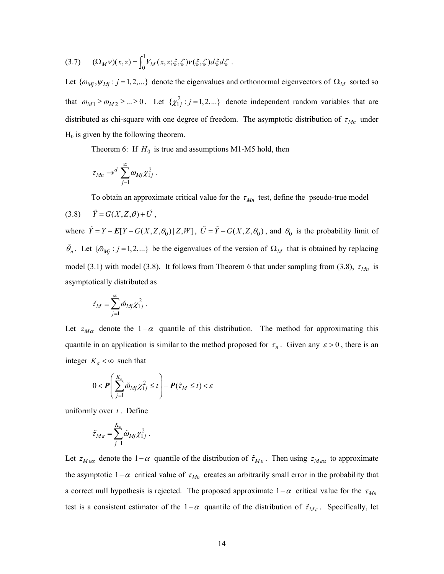$$
(3.7) \qquad (\Omega_M \nu)(x, z) = \int_0^1 V_M(x, z; \xi, \zeta) \nu(\xi, \zeta) d\xi d\zeta.
$$

Let  $\{\omega_{Mj}, \psi_{Mj} : j = 1, 2, ...\}$  denote the eigenvalues and orthonormal eigenvectors of  $\Omega_M$  sorted so that  $\omega_{M1} \ge \omega_{M2} \ge ... \ge 0$ . Let  $\{\chi^2_{1j} : j = 1, 2,...\}$  denote independent random variables that are distributed as chi-square with one degree of freedom. The asymptotic distribution of  $\tau_{Mn}$  under  $H_0$  is given by the following theorem.

Theorem 6: If  $H_0$  is true and assumptions M1-M5 hold, then

$$
\tau_{Mn} \to^d \sum_{j=1}^\infty \omega_{Mj} \chi_{1j}^2.
$$

To obtain an approximate critical value for the  $\tau_{Mn}$  test, define the pseudo-true model

$$
(3.8) \qquad \tilde{Y} = G(X, Z, \theta) + \tilde{U} ,
$$

where  $\tilde{Y} = Y - E[Y - G(X, Z, \theta_0) | Z, W]$ ,  $\tilde{U} = \tilde{Y} - G(X, Z, \theta_0)$ , and  $\theta_0$  is the probability limit of  $\hat{\theta}_n$ . Let  $\{\tilde{\omega}_{Mj} : j = 1, 2, ...\}$  be the eigenvalues of the version of  $\Omega_M$  that is obtained by replacing model (3.1) with model (3.8). It follows from Theorem 6 that under sampling from (3.8),  $\tau_{Mn}$  is asymptotically distributed as

$$
\tilde{\tau}_M \equiv \sum_{j=1}^\infty \tilde{\omega}_{Mj} \chi_{1j}^2 \; .
$$

Let  $z_{M\alpha}$  denote the 1− $\alpha$  quantile of this distribution. The method for approximating this quantile in an application is similar to the method proposed for  $\tau_n$ . Given any  $\varepsilon > 0$ , there is an integer  $K_{\varepsilon} < \infty$  such that

$$
0 < \boldsymbol{P}\left(\sum_{j=1}^{K_{\varepsilon}} \tilde{\omega}_{Mj} \chi_{1j}^2 \leq t\right) - \boldsymbol{P}(\tilde{\tau}_M \leq t) < \varepsilon
$$

uniformly over *t* . Define

$$
\tilde{\tau}_{M\varepsilon} = \sum_{j=1}^{K_{\varepsilon}} \tilde{\omega}_{Mj} \chi_{1j}^2.
$$

Let  $z_{M\epsilon\alpha}$  denote the 1−α quantile of the distribution of  $\tilde{\tau}_{M\epsilon}$ . Then using  $z_{M\epsilon\alpha}$  to approximate the asymptotic 1– $\alpha$  critical value of  $\tau_{Mn}$  creates an arbitrarily small error in the probability that a correct null hypothesis is rejected. The proposed approximate  $1-\alpha$  critical value for the  $\tau_{Mn}$ test is a consistent estimator of the 1−α quantile of the distribution of  $\tilde{\tau}_{M_{\varepsilon}}$ . Specifically, let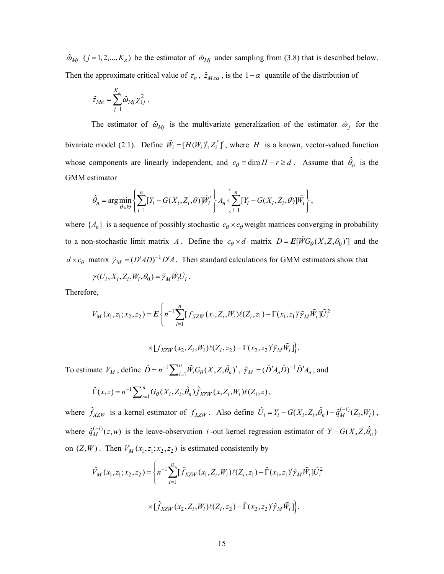$\hat{\omega}_{Mj}$  ( $j = 1, 2, ..., K_{\varepsilon}$ ) be the estimator of  $\tilde{\omega}_{Mj}$  under sampling from (3.8) that is described below. Then the approximate critical value of  $\tau_n$ ,  $\hat{z}_{M\epsilon\alpha}$ , is the 1−α quantile of the distribution of

$$
\hat{\tau}_{Mn} = \sum_{j=1}^{K_{\varepsilon}} \hat{\omega}_{Mj} \chi_{1j}^2.
$$

bivariate model (2.1). Define  $\tilde{W}_i = [H(W_i)', Z'_i']'$ , where H is a known, vector-valued function whose components are linearly independent, and  $c_{\theta} \equiv \dim H + r \ge d$ . Assume that  $\hat{\theta}_n$  is the The estimator of  $\tilde{\omega}_{Mj}$  is the multivariate generalization of the estimator  $\hat{\omega}_j$  for the GMM estimator

$$
\hat{\theta}_n = \arg\min_{\theta \in \Theta} \left\{ \sum_{i=1}^n [Y_i - G(X_i, Z_i, \theta)] \tilde{W}_i' \right\} A_n \left\{ \sum_{i=1}^n [Y_i - G(X_i, Z_i, \theta)] \tilde{W}_i \right\},\,
$$

where  $\{A_n\}$  is a sequence of possibly stochastic  $c_{\theta} \times c_{\theta}$  weight matrices converging in probability *to* a non-stochastic limit matrix *A*. Define the  $c_{\theta} \times d$  matrix  $D = \mathbf{E}[\tilde{W}G_{\theta}(X, Z, \theta_0)]$  and the  $d \times c_\theta$  matrix  $\tilde{\gamma}_M = (D'AD)^{-1}D'A$ . Then standard calculations for GMM estimators show that

$$
\gamma(U_i,X_i,Z_i,W_i,\theta_0)=\tilde{\gamma}_M\tilde{W_i}\tilde{U_i}\,.
$$

Therefore,

$$
V_M(x_1, z_1; x_2, z_2) = \mathbf{E} \left\{ n^{-1} \sum_{i=1}^n [f_{XZW}(x_1, Z_i, W_i) \ell(Z_i, z_1) - \Gamma(x_1, z_1)^\prime \tilde{\gamma}_M \tilde{W}_i] \tilde{U}_i^2 \right\}
$$

$$
\times [f_{XZW}(x_2,Z_i,W_i)\ell(Z_i,z_2) - \Gamma(x_2,z_2)'\tilde{\gamma}_M\tilde{W}_i]\big\}.
$$

To estimate  $V_M$ , define  $\hat{D} = n^{-1} \sum_{i=1}^n \tilde{W}_i G_\theta(X, Z, \hat{\theta}_n)'$ ,  $\hat{\gamma}_M = (\hat{D}' A_n \hat{D})^{-1} \hat{D}' A_n$ , and

$$
\hat{\Gamma}(x,z) = n^{-1} \sum_{i=1}^{n} G_{\theta}(X_i, Z_i, \hat{\theta}_n) \hat{f}_{XZW}(x, Z_i, W_i) \ell(Z_i, z) ,
$$

where  $\hat{f}_{XZW}$  is a kernel estimator of  $f_{XZW}$ . Also define  $\hat{U}_i = Y_i - G(X_i, Z_i, \hat{\theta}_n) - \hat{q}_M^{(-i)}(Z_i, W_i)$ , where  $\hat{q}_M^{(-i)}(z, w)$  is the leave-observation *i*-out kernel regression estimator of  $Y - G(X, Z, \hat{\theta}_n)$ on  $(Z, W)$ . Then  $V_M(x_1, z_1; x_2, z_2)$  is estimated consistently by

$$
\hat{V}_M(x_1, z_1; x_2, z_2) = \left\{ n^{-1} \sum_{i=1}^n [\hat{f}_{XZW}(x_1, Z_i, W_i) \ell(Z_i, z_1) - \hat{\Gamma}(x_1, z_1) \hat{\gamma}_M \tilde{W}_i] \hat{U}_i^2 \right\}
$$

$$
\times [\hat{f}_{XZW}(x_2, Z_i, W_i) \ell(Z_i, z_2) - \hat{\Gamma}(x_2, z_2) \hat{\gamma}_M \tilde{W}_i] \right\}.
$$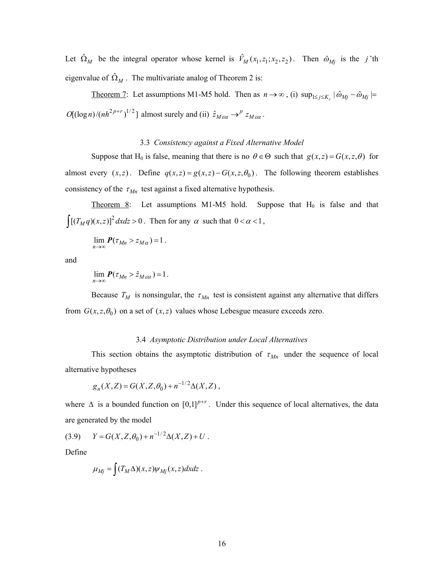Let  $\hat{\Omega}_M$  be the integral operator whose kernel is  $\hat{V}_M(x_1, z_1; x_2, z_2)$ . Then  $\hat{\omega}_{Mj}$  is the *j*'th eigenvalue of  $\hat{\Omega}_M$ . The multivariate analog of Theorem 2 is:

<u>Theorem 7</u>: Let assumptions M1-M5 hold. Then as  $n \to \infty$ , (i)  $\sup_{1 \le j \le K_c} |\hat{\omega}_{Mj} - \tilde{\omega}_{Mj}| =$  $O[(\log n)/ (nh^{2p+r})^{1/2}]$  almost surely and (ii)  $\hat{z}_{M\epsilon\alpha} \rightarrow^{p} z_{M\epsilon\alpha}$ .

#### 3.3 *Consistency against a Fixed Alternative Model*

Suppose that H<sub>0</sub> is false, meaning that there is no  $\theta \in \Theta$  such that  $g(x, z) = G(x, z, \theta)$  for almost every  $(x, z)$ . Define  $q(x, z) = g(x, z) - G(x, z, \theta_0)$ . The following theorem establishes consistency of the  $\tau_{Mn}$  test against a fixed alternative hypothesis.

Theorem 8: Let assumptions M1-M5 hold. Suppose that  $H_0$  is false and that  $\int [(T_M q)(x, z)]^2 dx dz > 0$ . Then for any  $\alpha$  such that  $0 < \alpha < 1$ ,

$$
\lim_{n\to\infty} P(\tau_{Mn} > z_{M\alpha}) = 1.
$$

and

 $\lim_{n\to\infty} P(\tau_{Mn} > \hat{z}_{M\epsilon\alpha}) = 1.$ 

Because  $T_M$  is nonsingular, the  $\tau_{Mn}$  test is consistent against any alternative that differs from  $G(x, z, \theta_0)$  on a set of  $(x, z)$  values whose Lebesgue measure exceeds zero.

## 3.4 *Asymptotic Distribution under Local Alternatives*

This section obtains the asymptotic distribution of  $\tau_{Mn}$  under the sequence of local alternative hypotheses

$$
g_n(X,Z) = G(X,Z,\theta_0) + n^{-1/2} \Delta(X,Z) ,
$$

where  $\Delta$  is a bounded function on  $[0,1]^{p+r}$ . Under this sequence of local alternatives, the data are generated by the model

 $Y = G(X, Z, \theta_0) + n^{-1/2} \Delta(X, Z) + U$ .

Define

$$
\mu_{Mj} = \int (T_M \Delta)(x, z) \psi_{Mj}(x, z) dx dz.
$$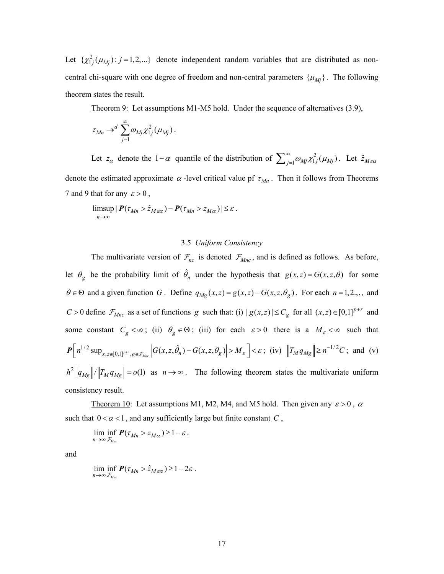Let  $\{\chi^2_{1j}(\mu_{Mj}): j = 1, 2, ...\}$  denote independent random variables that are distributed as noncentral chi-square with one degree of freedom and non-central parameters  $\{\mu_{Mj}\}\$ . The following theorem states the result.

Theorem 9: Let assumptions M1-M5 hold. Under the sequence of alternatives (3.9),

$$
\tau_{Mn} \to^d \sum_{j=1}^\infty \omega_{Mj} \chi_{1j}^2(\mu_{Mj}).
$$

Let  $z_\alpha$  denote the 1- $\alpha$  quantile of the distribution of  $\sum_{j=1}^{\infty} \omega_{Mj} \chi^2_{1j}(\mu_{Mj})$ . Let  $\hat{z}_{M \in \alpha}$ denote the estimated approximate  $\alpha$ -level critical value pf  $\tau_{Mn}$ . Then it follows from Theorems 7 and 9 that for any  $\varepsilon > 0$ ,

$$
\limsup_{n\to\infty} |P(\tau_{Mn} > \hat{z}_{M\epsilon\alpha}) - P(\tau_{Mn} > z_{M\alpha})| \leq \varepsilon.
$$

## 3.5 *Uniform Consistency*

The multivariate version of  $\mathcal{F}_{nc}$  is denoted  $\mathcal{F}_{Mnc}$ , and is defined as follows. As before, let  $\theta_g$  be the probability limit of  $\hat{\theta}_n$  under the hypothesis that  $g(x, z) = G(x, z, \theta)$  for some  $\theta \in \Theta$  and a given function *G*. Define  $q_{Mg}(x, z) = g(x, z) - G(x, z, \theta_g)$ . For each  $n = 1, 2, \dots$ , and  $C > 0$  define  $\mathcal{F}_{Mnc}$  as a set of functions *g* such that: (i)  $|g(x, z)| \leq C_g$  for all  $(x, z) \in [0,1]^{p+r}$  and some constant  $C_g < \infty$ ; (ii)  $\theta_g \in \Theta$ ; (iii) for each  $\varepsilon > 0$  there is a  $M_g < \infty$  such that  $P\left[n^{1/2} \sup_{x,z\in[0,1]^{p+r},g\in\mathcal{F}_{Mnc}}\left|G(x,z,\hat{\theta}_n)-G(x,z,\theta_g)\right|>M_{\varepsilon}\right] < \varepsilon$ ; (iv)  $\left\|T_M q_{Mg}\right\| \geq n^{-1/2}C$ ; and (v)  $h^2 ||q_{Mg}|| / ||T_M q_{Mg}|| = o(1)$  as  $n \to \infty$ . The following theorem states the multivariate uniform consistency result.

Theorem 10: Let assumptions M1, M2, M4, and M5 hold. Then given any  $\varepsilon > 0$ ,  $\alpha$ such that  $0 < \alpha < 1$ , and any sufficiently large but finite constant  $C$ ,

lim inf  $P(\tau_{Mn} > \tau_{M\alpha}) \ge 1$  $\lim_{n \to \infty} \inf_{\mathcal{F}_{Mnc}} P(\tau_{Mn} > z_{M\alpha}) \geq 1 - \varepsilon$ .

and

lim inf  $P(\tau_{Mn} > \hat{z}_{M\epsilon\alpha}) \geq 1 - 2$  $\lim_{n\to\infty} \inf_{\mathcal{F}_{Mnc}} P(\tau_{Mn} > \hat{z}_{M\epsilon\alpha}) \geq 1-2\varepsilon$ .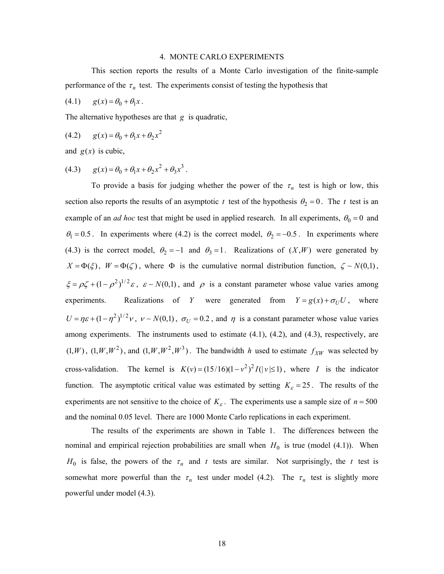#### 4. MONTE CARLO EXPERIMENTS

This section reports the results of a Monte Carlo investigation of the finite-sample performance of the  $\tau_n$  test. The experiments consist of testing the hypothesis that

$$
(4.1) \qquad g(x) = \theta_0 + \theta_1 x \, .
$$

The alternative hypotheses are that *g* is quadratic,

(4.2) 
$$
g(x) = \theta_0 + \theta_1 x + \theta_2 x^2
$$

and  $g(x)$  is cubic,

(4.3) 
$$
g(x) = \theta_0 + \theta_1 x + \theta_2 x^2 + \theta_3 x^3.
$$

To provide a basis for judging whether the power of the  $\tau_n$  test is high or low, this section also reports the results of an asymptotic *t* test of the hypothesis  $\theta_2 = 0$ . The *t* test is an example of an *ad hoc* test that might be used in applied research. In all experiments,  $\theta_0 = 0$  and  $\theta_1 = 0.5$ . In experiments where (4.2) is the correct model,  $\theta_2 = -0.5$ . In experiments where (4.3) is the correct model,  $\theta_2 = -1$  and  $\theta_3 = 1$ . Realizations of  $(X, W)$  were generated by  $X = \Phi(\xi)$ ,  $W = \Phi(\zeta)$ , where  $\Phi$  is the cumulative normal distribution function,  $\zeta \sim N(0,1)$ ,  $\zeta = \rho \zeta + (1 - \rho^2)^{1/2} \varepsilon$ ,  $\varepsilon \sim N(0,1)$ , and  $\rho$  is a constant parameter whose value varies among experiments. Realizations of *Y* were generated from  $Y = g(x) + \sigma_U U$ , where  $U = \eta \varepsilon + (1 - \eta^2)^{1/2} \nu$ ,  $v \sim N(0,1)$ ,  $\sigma_U = 0.2$ , and  $\eta$  is a constant parameter whose value varies among experiments. The instruments used to estimate  $(4.1)$ ,  $(4.2)$ , and  $(4.3)$ , respectively, are  $(1, W)$ ,  $(1, W, W^2)$ , and  $(1, W, W^2, W^3)$ . The bandwidth h used to estimate  $f_{XW}$  was selected by cross-validation. The kernel is  $K(v) = (15/16)(1 - v^2)^2 I(|v| \le 1)$ , where I is the indicator function. The asymptotic critical value was estimated by setting  $K<sub>\epsilon</sub> = 25$ . The results of the experiments are not sensitive to the choice of  $K_{\varepsilon}$ . The experiments use a sample size of  $n = 500$ and the nominal 0.05 level. There are 1000 Monte Carlo replications in each experiment.

The results of the experiments are shown in Table 1. The differences between the nominal and empirical rejection probabilities are small when  $H_0$  is true (model (4.1)). When  $H_0$  is false, the powers of the  $\tau_n$  and t tests are similar. Not surprisingly, the t test is somewhat more powerful than the  $\tau_n$  test under model (4.2). The  $\tau_n$  test is slightly more powerful under model (4.3).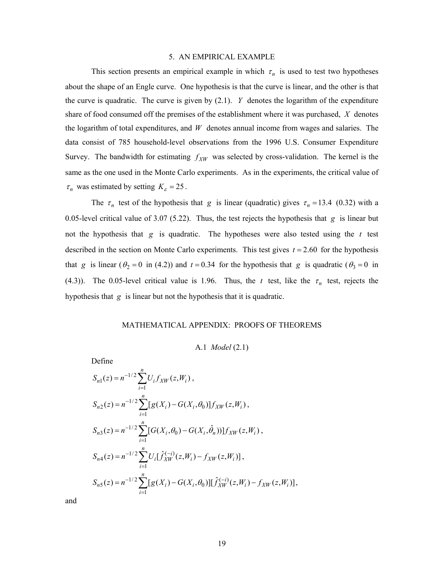#### 5. AN EMPIRICAL EXAMPLE

This section presents an empirical example in which  $\tau_n$  is used to test two hypotheses about the shape of an Engle curve. One hypothesis is that the curve is linear, and the other is that the curve is quadratic. The curve is given by  $(2.1)$ . *Y* denotes the logarithm of the expenditure share of food consumed off the premises of the establishment where it was purchased, *X* denotes the logarithm of total expenditures, and *W* denotes annual income from wages and salaries. The data consist of 785 household-level observations from the 1996 U.S. Consumer Expenditure Survey. The bandwidth for estimating  $f_{XW}$  was selected by cross-validation. The kernel is the same as the one used in the Monte Carlo experiments. As in the experiments, the critical value of  $\tau_n$  was estimated by setting  $K_{\varepsilon} = 25$ .

The  $\tau_n$  test of the hypothesis that *g* is linear (quadratic) gives  $\tau_n = 13.4$  (0.32) with a 0.05-level critical value of 3.07 (5.22). Thus, the test rejects the hypothesis that *g* is linear but not the hypothesis that *g* is quadratic. The hypotheses were also tested using the *t* test described in the section on Monte Carlo experiments. This test gives  $t = 2.60$  for the hypothesis that *g* is linear ( $\theta_2 = 0$  in (4.2)) and  $t = 0.34$  for the hypothesis that *g* is quadratic ( $\theta_3 = 0$  in (4.3)). The 0.05-level critical value is 1.96. Thus, the *t* test, like the  $\tau_n$  test, rejects the hypothesis that *g* is linear but not the hypothesis that it is quadratic.

# MATHEMATICAL APPENDIX: PROOFS OF THEOREMS

A.1 *Model* (2.1)

Define

$$
S_{n1}(z) = n^{-1/2} \sum_{i=1}^{n} U_i f_{XW}(z, W_i),
$$
  
\n
$$
S_{n2}(z) = n^{-1/2} \sum_{i=1}^{n} [g(X_i) - G(X_i, \theta_0)] f_{XW}(z, W_i),
$$
  
\n
$$
S_{n3}(z) = n^{-1/2} \sum_{i=1}^{n} [G(X_i, \theta_0) - G(X_i, \hat{\theta}_n))] f_{XW}(z, W_i),
$$
  
\n
$$
S_{n4}(z) = n^{-1/2} \sum_{i=1}^{n} U_i [\hat{f}_{XW}^{(-i)}(z, W_i) - f_{XW}(z, W_i)],
$$
  
\n
$$
S_{n5}(z) = n^{-1/2} \sum_{i=1}^{n} [g(X_i) - G(X_i, \theta_0)][\hat{f}_{XW}^{(-i)}(z, W_i) - f_{XW}(z, W_i)],
$$

and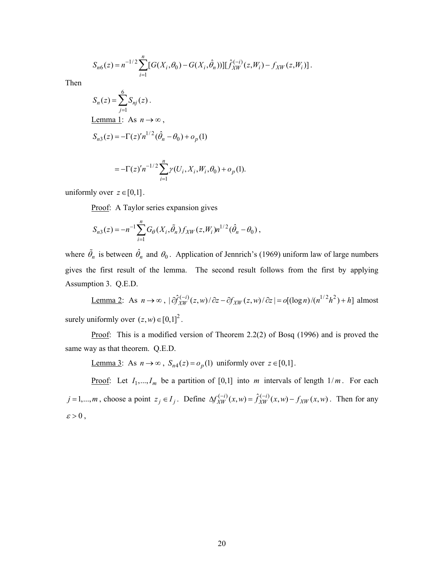$$
S_{n6}(z) = n^{-1/2} \sum_{i=1}^{n} [G(X_i, \theta_0) - G(X_i, \hat{\theta}_n))] [\hat{f}_{XW}^{(-i)}(z, W_i) - f_{XW}(z, W_i)].
$$

Then

$$
S_n(z) = \sum_{j=1}^{6} S_{nj}(z).
$$
  
Lemma 1: As  $n \to \infty$ ,  

$$
S_{n3}(z) = -\Gamma(z)' n^{1/2} (\hat{\theta}_n - \theta_0) + o_p(1)
$$

$$
=-\Gamma(z)'n^{-1/2}\sum_{i=1}^n \gamma(U_i, X_i, W_i, \theta_0) + o_p(1).
$$

uniformly over  $z \in [0,1]$ .

Proof: A Taylor series expansion gives

$$
S_{n3}(z) = -n^{-1} \sum_{i=1}^{n} G_{\theta}(X_i, \tilde{\theta}_n) f_{XW}(z, W_i) n^{1/2} (\hat{\theta}_n - \theta_0),
$$

where  $\tilde{\theta}_n$  is between  $\hat{\theta}_n$  and  $\theta_0$ . Application of Jennrich's (1969) uniform law of large numbers gives the first result of the lemma. The second result follows from the first by applying Assumption 3. Q.E.D.

Lemma 2: As  $n \to \infty$ ,  $\left| \partial \hat{f}_{XW}^{(-i)}(z,w) / \partial z - \partial f_{XW}(z,w) / \partial z \right| = o[(\log n) / (n^{1/2}h^2) + h]$  almost surely uniformly over  $(z, w) \in [0, 1]^2$ .

Proof: This is a modified version of Theorem 2.2(2) of Bosq (1996) and is proved the same way as that theorem. Q.E.D.

<u>Lemma 3</u>: As *n* → ∞,  $S_{n4}(z) = o_p(1)$  uniformly over  $z \in [0,1]$ .

**Proof:** Let  $I_1, \ldots, I_m$  be a partition of [0,1] into *m* intervals of length  $1/m$ . For each  $j=1,...,m$ , choose a point  $z_j \in I_j$ . Define  $\Delta f_{XW}^{(-i)}(x,w) = \hat{f}_{XW}^{(-i)}(x,w) - f_{XW}(x,w)$ . Then for any  $\varepsilon > 0$ ,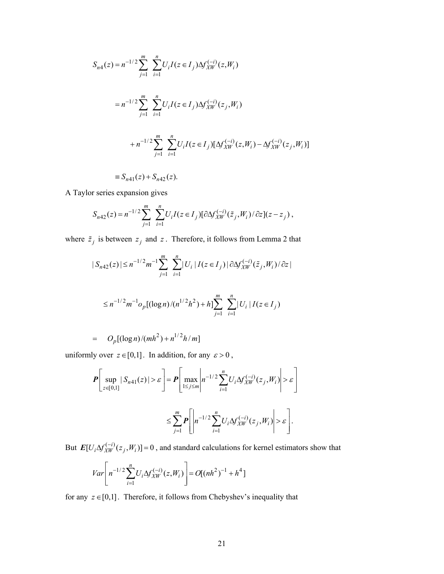$$
S_{n4}(z) = n^{-1/2} \sum_{j=1}^{m} \sum_{i=1}^{n} U_i I(z \in I_j) \Delta f_{XW}^{(-i)}(z, W_i)
$$
  

$$
= n^{-1/2} \sum_{j=1}^{m} \sum_{i=1}^{n} U_i I(z \in I_j) \Delta f_{XW}^{(-i)}(z_j, W_i)
$$
  

$$
+ n^{-1/2} \sum_{j=1}^{m} \sum_{i=1}^{n} U_i I(z \in I_j) [\Delta f_{XW}^{(-i)}(z, W_i) - \Delta f_{XW}^{(-i)}(z_j, W_i)]
$$
  

$$
\equiv S_{n41}(z) + S_{n42}(z).
$$

A Taylor series expansion gives

$$
S_{n42}(z) = n^{-1/2} \sum_{j=1}^{m} \sum_{i=1}^{n} U_i I(z \in I_j) [\partial \Delta f_{XW}^{(-i)}(\tilde{z}_j, W_i) / \partial z] (z - z_j) \,,
$$

where  $\tilde{z}_j$  is between  $z_j$  and  $\tilde{z}$ . Therefore, it follows from Lemma 2 that

$$
|S_{n42}(z)| \le n^{-1/2} m^{-1} \sum_{j=1}^{m} \sum_{i=1}^{n} |U_i| I(z \in I_j) | \partial \Delta f_{XW}^{(-i)}(\tilde{z}_j, W_i) / \partial z |
$$
  

$$
\le n^{-1/2} m^{-1} o_p [(\log n) / (n^{1/2} h^2) + h] \sum_{j=1}^{m} \sum_{i=1}^{n} |U_i| I(z \in I_j)
$$

$$
= O_p[(\log n)/(mh^2) + n^{1/2}h/m]
$$

uniformly over  $z \in [0,1]$ . In addition, for any  $\varepsilon > 0$ ,

$$
\mathbf{P}\left[\sup_{z\in[0,1]}|S_{n41}(z)|>\varepsilon\right]=\mathbf{P}\left[\max_{1\leq j\leq m}\left|n^{-1/2}\sum_{i=1}^nU_i\Delta f_{XW}^{(-i)}(z_j,W_i)\right|>\varepsilon\right]
$$

$$
\leq \sum_{j=1}^m \mathbf{P}\left[\left|n^{-1/2}\sum_{i=1}^nU_i\Delta f_{XW}^{(-i)}(z_j,W_i)\right|>\varepsilon\right].
$$

But  $E[U_i \Delta f_{XW}^{(-i)}(z_j, W_i)] = 0$ , and standard calculations for kernel estimators show that

$$
Var\left[n^{-1/2}\sum_{i=1}^{n}U_i\Delta f_{XW}^{(-i)}(z,W_i)\right] = O[(nh^2)^{-1} + h^4]
$$

for any  $z \in [0,1]$ . Therefore, it follows from Chebyshev's inequality that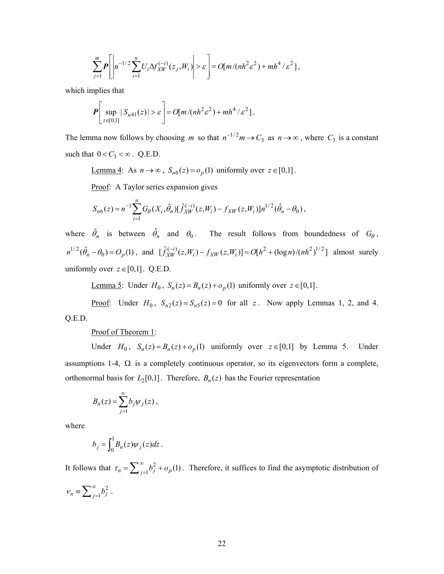$$
\sum_{j=1}^m P\left[\left|n^{-1/2}\sum_{i=1}^n U_i \Delta f_{XW}^{(-i)}(z_j, W_i)\right| > \varepsilon\right] = O[m/(nh^2\varepsilon^2) + mh^4/\varepsilon^2],
$$

which implies that

$$
\boldsymbol{P}\left[\sup_{z\in[0,1]}|S_{n41}(z)|>\varepsilon\right]=O[m/(nh^2\varepsilon^2)+mh^4/\varepsilon^2].
$$

The lemma now follows by choosing m so that  $n^{-1/2}m \to C_3$  as  $n \to \infty$ , where  $C_3$  is a constant such that  $0 < C_3 < \infty$ . Q.E.D.

<u>Lemma 4</u>: As *n* → ∞,  $S_{n6}(z) = o_p(1)$  *uniformly over*  $z \in [0,1]$ .

Proof: A Taylor series expansion gives

$$
S_{n6}(z) = n^{-1} \sum_{i=1}^{n} G_{\theta}(X_i, \tilde{\theta}_n) [\hat{f}_{XW}^{(-i)}(z, W_i) - f_{XW}(z, W_i)] n^{1/2} (\hat{\theta}_n - \theta_0),
$$

where  $\tilde{\theta}_n$  is between  $\hat{\theta}_n$  and  $\theta_0$ . The result follows from boundedness of  $G_\theta$ ,  $n^{1/2}(\hat{\theta}_n - \theta_0) = O_p(1)$ , and  $[\hat{f}_{XW}^{(-i)}(z, W_i) - f_{XW}(z, W_i)] = O[h^2 + (\log n)/(nh^2)^{1/2}]$  almost surely uniformly over  $z \in [0,1]$ . Q.E.D.

<u>Lemma 5</u>: Under *H*<sub>0</sub>, *S<sub>n</sub>*(*z*) = *B<sub>n</sub>*(*z*) + *o<sub>p</sub>*(1) uniformly over *z* ∈[0,1].

Proof: Under  $H_0$ ,  $S_{n2}(z) = S_{n5}(z) = 0$  for all z. Now apply Lemmas 1, 2, and 4. Q.E.D.

# Proof of Theorem 1:

Under  $H_0$ ,  $S_n(z) = B_n(z) + o_p(1)$  uniformly over  $z \in [0,1]$  by Lemma 5. Under assumptions 1-4,  $\Omega$  is a completely continuous operator, so its eigenvectors form a complete, orthonormal basis for  $L_2[0,1]$ . Therefore,  $B_n(z)$  has the Fourier representation

$$
B_n(z) = \sum_{j=1}^{\infty} b_j \psi_j(z) ,
$$

where

$$
b_j = \int_0^1 B_n(z) \psi_j(z) dz.
$$

It follows that  $\tau_n = \sum_{j=1}^{\infty} b_j^2 + o_p(1)$ . Therefore, it suffices to find the asymptotic distribution of  $v_n \equiv \sum_{j=1}^{\infty} b_j^2$ .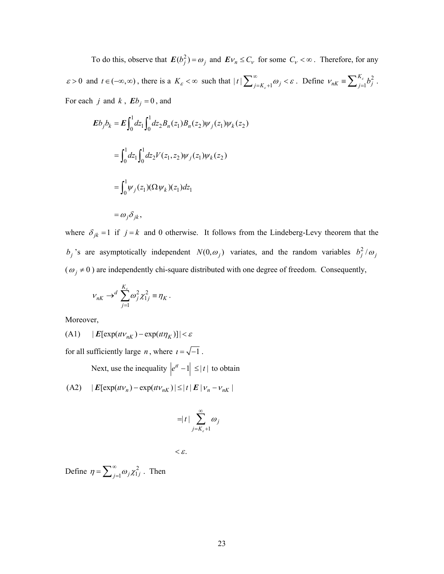To do this, observe that  $E(b_j^2) = \omega_j$  and  $Ev_n \leq C_v$  for some  $C_v < \infty$ . Therefore, for any  $\varepsilon > 0$  and  $t \in (-\infty, \infty)$ , there is a  $K_{\varepsilon} < \infty$  such that  $|t| \sum_{j=K_{\varepsilon}+1}^{\infty} \omega_j < \varepsilon$ . Define  $v_{nK} \equiv \sum_{j=1}^{K_{\varepsilon}} b_j^2$ . For each *j* and *k*,  $\mathbf{E}b_j = 0$ , and 1 *K*  $v_{nK} \equiv \sum_{j=1}^{K_{\varepsilon}} b_j^2$ 

$$
Eb_j b_k = E \int_0^1 dz_1 \int_0^1 dz_2 B_n(z_1) B_n(z_2) \psi_j(z_1) \psi_k(z_2)
$$
  
= 
$$
\int_0^1 dz_1 \int_0^1 dz_2 V(z_1, z_2) \psi_j(z_1) \psi_k(z_2)
$$
  
= 
$$
\int_0^1 \psi_j(z_1) (\Omega \psi_k)(z_1) dz_1
$$
  
= 
$$
\omega_j \delta_{jk},
$$

where  $\delta_{jk} = 1$  if  $j = k$  and 0 otherwise. It follows from the Lindeberg-Levy theorem that the  $b_j$ 's are asymptotically independent  $N(0, \omega_j)$  variates, and the random variables  $b_j^2/\omega_j$  $(\omega_j \neq 0)$  are independently chi-square distributed with one degree of freedom. Consequently,

$$
v_{nK} \rightarrow^d \sum_{j=1}^{K_{\varepsilon}} \omega_j^2 \chi_{1j}^2 \equiv \eta_K \, .
$$

Moreover,

 $(A1)$   $|E[exp(t t v_{nK}) - exp(t t \eta_K)]| < \varepsilon$ 

for all sufficiently large *n*, where  $i = \sqrt{-1}$ .

Next, use the inequality  $|e^{it} - 1| \leq |t|$  to obtain

 $(A2)$   $|E[\exp(t t v_n) - \exp(t t v_{nK})| \leq |t| E |v_n - v_{nK}|$ 

$$
= |t| \sum_{j=K_{\varepsilon}+1}^{\infty} \omega_j
$$

$$
<\varepsilon.
$$

Define  $\eta = \sum_{j=1}^{\infty} \omega_j \chi_{1j}^2$ . Then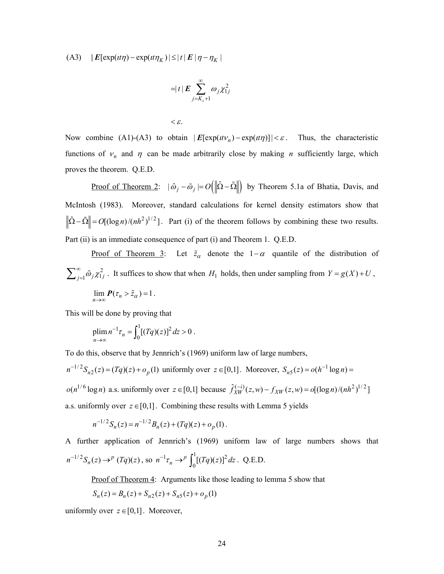(A3)  $\left| E[\exp (it\eta ) - \exp (it\eta_K)] \leq |t| E |\eta - \eta_K| \right|$ 

$$
= |t| \mathbf{E} \sum_{j=K_{\varepsilon}+1}^{\infty} \omega_j \chi_{1j}^2
$$

 $\langle \varepsilon$ .

Now combine (A1)-(A3) to obtain  $|E[\exp(t\nu_n) - \exp(t\nu_n)]| < \varepsilon$ . Thus, the characteristic functions of  $v_n$  and  $\eta$  can be made arbitrarily close by making *n* sufficiently large, which proves the theorem. Q.E.D.

Proof of Theorem 2:  $|\hat{\omega}_j - \tilde{\omega}_j| = O(||\hat{\Omega} - \tilde{\Omega}||)$  by Theorem 5.1a of Bhatia, Davis, and McIntosh (1983). Moreover, standard calculations for kernel density estimators show that  $\hat{\Omega} - \tilde{\Omega}$  =  $O[(\log n)/(nh^2)^{1/2}]$ . Part (i) of the theorem follows by combining these two results. Part (ii) is an immediate consequence of part (i) and Theorem 1. Q.E.D.

<u>Proof of Theorem 3</u>: Let  $\tilde{z}_\alpha$  denote the 1− $\alpha$  quantile of the distribution of  $\sum_{j=1}^{\infty} \tilde{\omega}_j \chi^2_{1j}$ . It suffices to show that when  $H_1$  holds, then under sampling from  $Y = g(X) + U$ ,

$$
\lim_{n\to\infty} P(\tau_n > \tilde{z}_\alpha) = 1.
$$

This will be done by proving that

$$
\lim_{n \to \infty} n^{-1} \tau_n = \int_0^1 [(Tq)(z)]^2 dz > 0.
$$

To do this, observe that by Jennrich's (1969) uniform law of large numbers,

 $n^{-1/2} S_{n2}(z) = (Tq)(z) + o_p(1)$  uniformly over  $z \in [0,1]$ . Moreover,  $S_{n5}(z) = o(h^{-1} \log n) =$  $o(n^{1/6} \log n)$  a.s. uniformly over  $z \in [0,1]$  because  $\hat{f}_{XW}^{(-i)}(z,w) - f_{XW}(z,w) = o[(\log n)/(nh^2)^{1/2}]$ a.s. uniformly over  $z \in [0,1]$ . Combining these results with Lemma 5 yields −

$$
n^{-1/2}S_n(z) = n^{-1/2}B_n(z) + (Tq)(z) + o_p(1).
$$

 $n^{-1/2}S_n(z) \to^p (Tq)(z)$ , so  $n^{-1}\tau_n \to^p \int_0^1 [(Tq)(z)]^2 dz$ . Q.E.D. A further application of Jennrich's (1969) uniform law of large numbers shows that  $\sigma^{-1}\tau_n \to^p \int_0^1 [(Tq)(z)]$ 

Proof of Theorem 4: Arguments like those leading to lemma 5 show that

$$
S_n(z) = B_n(z) + S_{n2}(z) + S_{n5}(z) + o_p(1)
$$

uniformly over  $z \in [0,1]$ . Moreover,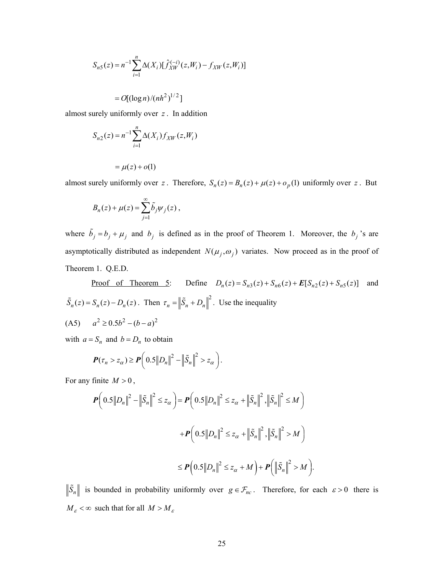$$
S_{n5}(z) = n^{-1} \sum_{i=1}^{n} \Delta(X_i) [\hat{f}_{XW}^{(-i)}(z, W_i) - f_{XW}(z, W_i)]
$$

$$
=O[(\log n)/(nh^2)^{1/2}]
$$

almost surely uniformly over *z* . In addition

$$
S_{n2}(z) = n^{-1} \sum_{i=1}^{n} \Delta(X_i) f_{XW}(z, W_i)
$$

$$
= \mu(z) + o(1)
$$

almost surely uniformly over *z*. Therefore,  $S_n(z) = B_n(z) + \mu(z) + o_p(1)$  uniformly over *z*. But

$$
B_n(z) + \mu(z) = \sum_{j=1}^{\infty} \tilde{b}_j \psi_j(z) ,
$$

where  $\tilde{b}_j = b_j + \mu_j$  and  $b_j$  is defined as in the proof of Theorem 1. Moreover, the  $b_j$ 's are asymptotically distributed as independent  $N(\mu_j, \omega_j)$  variates. Now proceed as in the proof of Theorem 1. Q.E.D.

<u>Proof of Theorem 5</u>: Define  $D_n(z) = S_{n3}(z) + S_{n6}(z) + E[S_{n2}(z) + S_{n5}(z)]$  and  $\tilde{S}_n(z) = S_n(z) - D_n(z)$ . Then  $\tau_n = \left\| \tilde{S}_n + D_n \right\|^2$ . Use the inequality

 $(A5)$   $a^2 \ge 0.5b^2 - (b - a)^2$ 

with  $a = S_n$  and  $b = D_n$  to obtain

$$
\boldsymbol{P}(\tau_n > z_\alpha) \ge \boldsymbol{P}\bigg(0.5\big\|D_n\big\|^2 - \big\|\tilde{S}_n\big\|^2 > z_\alpha\bigg).
$$

For any finite  $M > 0$ ,

$$
\mathbf{P}\Big(0.5\|D_n\|^2 - \|\tilde{S}_n\|^2 \le z_\alpha\Big) = \mathbf{P}\Big(0.5\|D_n\|^2 \le z_\alpha + \|\tilde{S}_n\|^2, \|\tilde{S}_n\|^2 \le M\Big) \n+ \mathbf{P}\Big(0.5\|D_n\|^2 \le z_\alpha + \|\tilde{S}_n\|^2, \|\tilde{S}_n\|^2 > M\Big) \n\le \mathbf{P}\Big(0.5\|D_n\|^2 \le z_\alpha + M\Big) + \mathbf{P}\Big(\|\tilde{S}_n\|^2 > M\Big).
$$

 $\|\tilde{S}_n\|$  is bounded in probability uniformly over  $g \in \mathcal{F}_{nc}$ . Therefore, for each  $\varepsilon > 0$  there is  $M_{\varepsilon}$  <  $\infty$  such that for all  $M > M_{\varepsilon}$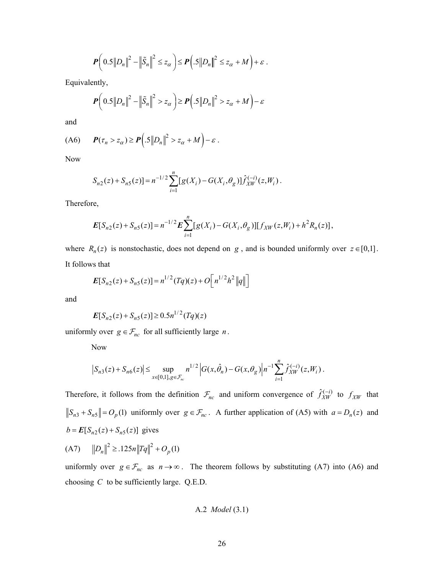$$
\boldsymbol{P}\bigg(0.5\big\|D_n\big\|^2-\big\|\tilde{S}_n\big\|^2\leq z_\alpha\bigg)\leq \boldsymbol{P}\Big(0.5\big\|D_n\big\|^2\leq z_\alpha+M\Big)+\varepsilon.
$$

Equivalently,

$$
\boldsymbol{P}\left(0.5\left\|D_n\right\|^2 - \left\|\tilde{S}_n\right\|^2 > z_\alpha\right) \ge \boldsymbol{P}\left(.5\left\|D_n\right\|^2 > z_\alpha + M\right) - \varepsilon
$$

and

$$
(A6) \qquad \boldsymbol{P}(\tau_n > z_\alpha) \ge \boldsymbol{P}\Big( .5\big\| D_n \big\|^2 > z_\alpha + M \Big) - \varepsilon \; .
$$

Now

$$
S_{n2}(z) + S_{n5}(z) = n^{-1/2} \sum_{i=1}^{n} [g(X_i) - G(X_i, \theta_g)] \hat{f}_{XW}^{(-i)}(z, W_i).
$$

Therefore,

$$
\boldsymbol{E}[S_{n2}(z) + S_{n5}(z)] = n^{-1/2} \boldsymbol{E} \sum_{i=1}^n [g(X_i) - G(X_i, \theta_g)][f_{XW}(z, W_i) + h^2 R_n(z)],
$$

where  $R_n(z)$  is nonstochastic, does not depend on *g*, and is bounded uniformly over  $z \in [0,1]$ . It follows that

$$
E[S_{n2}(z) + S_{n5}(z)] = n^{1/2} (Tq)(z) + O[n^{1/2}h^2 ||q||]
$$

and

$$
E[S_{n2}(z) + S_{n5}(z)] \ge 0.5n^{1/2}(Tq)(z)
$$

uniformly over  $g \in \mathcal{F}_{nc}$  for all sufficiently large *n*.

Now

$$
S_{n3}(z) + S_{n6}(z) \le \sup_{x \in [0,1], g \in \mathcal{F}_{nc}} n^{1/2} \left| G(x, \hat{\theta}_n) - G(x, \theta_g) \right| n^{-1} \sum_{i=1}^n \hat{f}_{XW}^{(-i)}(z, W_i).
$$

Therefore, it follows from the definition  $\mathcal{F}_{nc}$  and uniform convergence of  $\hat{f}_{XW}^{(-i)}$  to  $f_{XW}$  that  $\left\| S_{n3} + S_{n5} \right\| = O_p(1)$  uniformly over  $g \in \mathcal{F}_{nc}$ . A further application of (A5) with  $a = D_n(z)$  and  $b = E[S_{n2}(z) + S_{n5}(z)]$  gives

(A7) 
$$
||D_n||^2 \ge 125n||Tq||^2 + O_p(1)
$$

uniformly over  $g \in \mathcal{F}_{nc}$  as  $n \to \infty$ . The theorem follows by substituting (A7) into (A6) and choosing *C* to be sufficiently large. Q.E.D.

A.2 *Model* 
$$
(3.1)
$$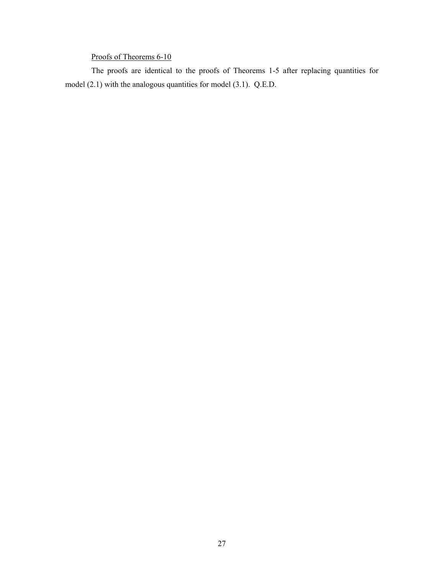# Proofs of Theorems 6-10

The proofs are identical to the proofs of Theorems 1-5 after replacing quantities for model (2.1) with the analogous quantities for model (3.1). Q.E.D.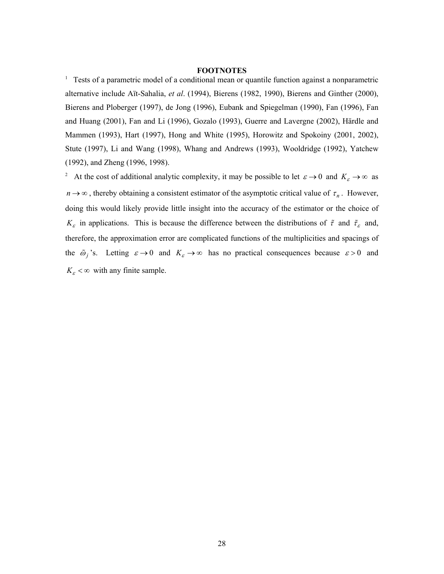## **FOOTNOTES**

<sup>1</sup> Tests of a parametric model of a conditional mean or quantile function against a nonparametric alternative include Aït-Sahalia, *et al*. (1994), Bierens (1982, 1990), Bierens and Ginther (2000), Bierens and Ploberger (1997), de Jong (1996), Eubank and Spiegelman (1990), Fan (1996), Fan and Huang (2001), Fan and Li (1996), Gozalo (1993), Guerre and Lavergne (2002), Härdle and Mammen (1993), Hart (1997), Hong and White (1995), Horowitz and Spokoiny (2001, 2002), Stute (1997), Li and Wang (1998), Whang and Andrews (1993), Wooldridge (1992), Yatchew (1992), and Zheng (1996, 1998).

<sup>2</sup> At the cost of additional analytic complexity, it may be possible to let  $\varepsilon \to 0$  and  $K_{\varepsilon} \to \infty$  as  $n \rightarrow \infty$ , thereby obtaining a consistent estimator of the asymptotic critical value of  $\tau_n$ . However, doing this would likely provide little insight into the accuracy of the estimator or the choice of  $K_{\varepsilon}$  in applications. This is because the difference between the distributions of  $\tilde{\tau}$  and  $\tilde{\tau}_{\varepsilon}$  and, therefore, the approximation error are complicated functions of the multiplicities and spacings of the  $\tilde{\omega}_j$ 's. Letting  $\varepsilon \to 0$  and  $K_{\varepsilon} \to \infty$  has no practical consequences because  $\varepsilon > 0$  and  $K_{\varepsilon} < \infty$  with any finite sample.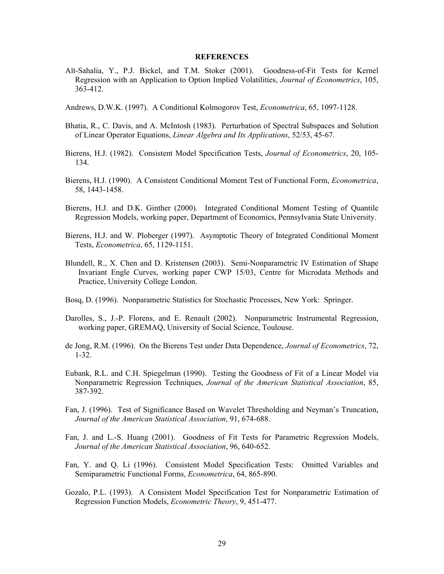### **REFERENCES**

- <span id="page-29-0"></span>Aït-Sahalia, Y., P.J. Bickel, and T.M. Stoker (2001). Goodness-of-Fit Tests for Kernel Regression with an Application to Option Implied Volatilities, *Journal of Econometrics*, 105, 363-412.
- Andrews, D.W.K. (1997). A Conditional Kolmogorov Test, *Econometrica*, 65, 1097-1128.
- Bhatia, R., C. Davis, and A. McIntosh (1983). Perturbation of Spectral Subspaces and Solution of Linear Operator Equations, *Linear Algebra and Its Applications*, 52/53, 45-67.
- Bierens, H.J. (1982). Consistent Model Specification Tests, *Journal of Econometrics*, 20, 105- 134.
- Bierens, H.J. (1990). A Consistent Conditional Moment Test of Functional Form, *Econometrica*, 58, 1443-1458.
- Bierens, H.J. and D.K. Ginther (2000). Integrated Conditional Moment Testing of Quantile Regression Models, working paper, Department of Economics, Pennsylvania State University.
- Bierens, H.J. and W. Ploberger (1997). Asymptotic Theory of Integrated Conditional Moment Tests, *Econometrica*, 65, 1129-1151.
- Blundell, R., X. Chen and D. Kristensen (2003). Semi-Nonparametric IV Estimation of Shape Invariant Engle Curves, working paper CWP 15/03, Centre for Microdata Methods and Practice, University College London.
- <span id="page-29-1"></span>Bosq, D. (1996). Nonparametric Statistics for Stochastic Processes, New York: Springer.
- Darolles, S., J.-P. Florens, and E. Renault (2002). Nonparametric Instrumental Regression, working paper, GREMAQ, University of Social Science, Toulouse.
- de Jong, R.M. (1996). On the Bierens Test under Data Dependence, *Journal of Econometrics*, 72, 1-32.
- Eubank, R.L. and C.H. Spiegelman (1990). Testing the Goodness of Fit of a Linear Model via Nonparametric Regression Techniques, *Journal of the American Statistical Association*, 85, 387-392.
- Fan, J. (1996). Test of Significance Based on Wavelet Thresholding and Neyman's Truncation, *Journal of the American Statistical Association*, 91, 674-688.
- Fan, J. and L.-S. Huang (2001). Goodness of Fit Tests for Parametric Regression Models, *Journal of the American Statistical Association*, 96, 640-652.
- Fan, Y. and Q. Li (1996). Consistent Model Specification Tests: Omitted Variables and Semiparametric Functional Forms, *Econometrica*, 64, 865-890.
- Gozalo, P.L. (1993). A Consistent Model Specification Test for Nonparametric Estimation of Regression Function Models, *Econometric Theory*, 9, 451-477.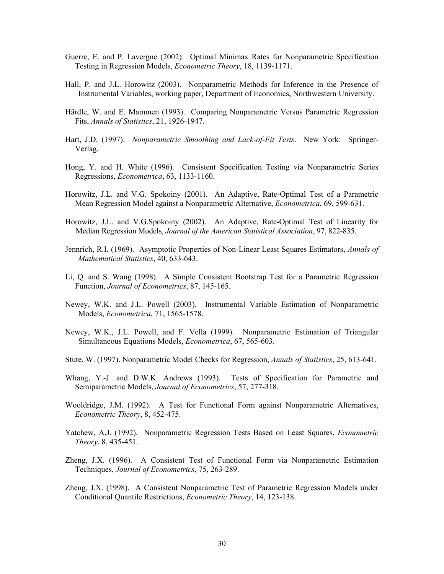- Guerre, E. and P. Lavergne (2002). Optimal Minimax Rates for Nonparametric Specification Testing in Regression Models, *Econometric Theory*, 18, 1139-1171.
- Hall, P. and J.L. Horowitz (2003). Nonparametric Methods for Inference in the Presence of Instrumental Variables, working paper, Department of Economics, Northwestern University.
- Härdle, W. and E. Mammen (1993). Comparing Nonparametric Versus Parametric Regression Fits, *Annals of Statistics*, 21, 1926-1947.
- Hart, J.D. (1997). *Nonparametric Smoothing and Lack-of-Fit Tests*. New York: Springer-Verlag.
- Hong, Y. and H. White (1996). Consistent Specification Testing via Nonparametric Series Regressions, *Econometrica*, 63, 1133-1160.
- Horowitz, J.L. and V.G. Spokoiny (2001). An Adaptive, Rate-Optimal Test of a Parametric Mean Regression Model against a Nonparametric Alternative, *Econometrica*, 69, 599-631.
- Horowitz, J.L. and V.G.Spokoiny (2002). An Adaptive, Rate-Optimal Test of Linearity for Median Regression Models, *Journal of the American Statistical Association*, 97, 822-835.
- Jennrich, R.I. (1969). Asymptotic Properties of Non-Linear Least Squares Estimators, *Annals of Mathematical Statistics*, 40, 633-643.
- Li, Q. and S. Wang (1998). A Simple Consistent Bootstrap Test for a Parametric Regression Function, *Journal of Econometrics*, 87, 145-165.
- Newey, W.K. and J.L. Powell (2003). Instrumental Variable Estimation of Nonparametric Models, *Econometrica*, 71, 1565-1578.
- Newey, W.K., J.L. Powell, and F. Vella (1999). Nonparametric Estimation of Triangular Simultaneous Equations Models, *Econometrica*, 67, 565-603.
- Stute, W. (1997). Nonparametric Model Checks for Regression, *Annals of Statistics*, 25, 613-641.
- Whang, Y.-J. and D.W.K. Andrews (1993). Tests of Specification for Parametric and Semiparametric Models, *Journal of Econometrics*, 57, 277-318.
- Wooldridge, J.M. (1992). A Test for Functional Form against Nonparametric Alternatives, *Econometric Theory*, 8, 452-475.
- Yatchew, A.J. (1992). Nonparametric Regression Tests Based on Least Squares, *Econometric Theory*, 8, 435-451.
- Zheng, J.X. (1996). A Consistent Test of Functional Form via Nonparametric Estimation Techniques, *Journal of Econometrics*, 75, 263-289.
- Zheng, J.X. (1998). A Consistent Nonparametric Test of Parametric Regression Models under Conditional Quantile Restrictions, *Econometric Theory*, 14, 123-138.